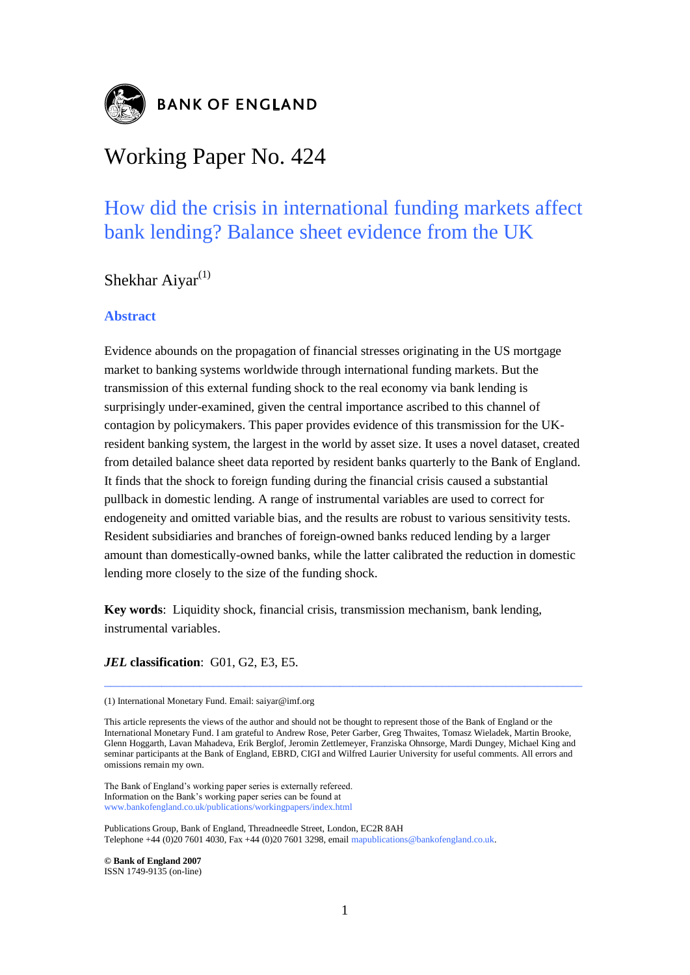

# Working Paper No. 424

## How did the crisis in international funding markets affect bank lending? Balance sheet evidence from the UK

Shekhar Aiyar $^{(1)}$ 

## **Abstract**

Evidence abounds on the propagation of financial stresses originating in the US mortgage market to banking systems worldwide through international funding markets. But the transmission of this external funding shock to the real economy via bank lending is surprisingly under-examined, given the central importance ascribed to this channel of contagion by policymakers. This paper provides evidence of this transmission for the UKresident banking system, the largest in the world by asset size. It uses a novel dataset, created from detailed balance sheet data reported by resident banks quarterly to the Bank of England. It finds that the shock to foreign funding during the financial crisis caused a substantial pullback in domestic lending. A range of instrumental variables are used to correct for endogeneity and omitted variable bias, and the results are robust to various sensitivity tests. Resident subsidiaries and branches of foreign-owned banks reduced lending by a larger amount than domestically-owned banks, while the latter calibrated the reduction in domestic lending more closely to the size of the funding shock.

**Key words**: Liquidity shock, financial crisis, transmission mechanism, bank lending, instrumental variables.

*JEL* **classification**: G01, G2, E3, E5.

\_\_\_\_\_\_\_\_\_\_\_\_\_\_\_\_\_\_\_\_\_\_\_\_\_\_\_\_\_\_\_\_\_\_\_\_\_\_\_\_\_\_\_\_\_\_\_\_\_\_\_\_\_\_\_\_\_\_\_\_\_\_\_\_\_\_\_\_\_\_\_\_\_\_\_

The Bank of England"s working paper series is externally refereed. Information on the Bank"s working paper series can be found at www.bankofengland.co.uk/publications/workingpapers/index.html

Publications Group, Bank of England, Threadneedle Street, London, EC2R 8AH Telephone +44 (0)20 7601 4030, Fax +44 (0)20 7601 3298, email mapublications@bankofengland.co.uk.

**© Bank of England 2007** ISSN 1749-9135 (on-line)

<sup>(1)</sup> International Monetary Fund. Email: saiyar@imf.org

This article represents the views of the author and should not be thought to represent those of the Bank of England or the International Monetary Fund. I am grateful to Andrew Rose, Peter Garber, Greg Thwaites, Tomasz Wieladek, Martin Brooke, Glenn Hoggarth, Lavan Mahadeva, Erik Berglof, Jeromin Zettlemeyer, Franziska Ohnsorge, Mardi Dungey, Michael King and seminar participants at the Bank of England, EBRD, CIGI and Wilfred Laurier University for useful comments. All errors and omissions remain my own.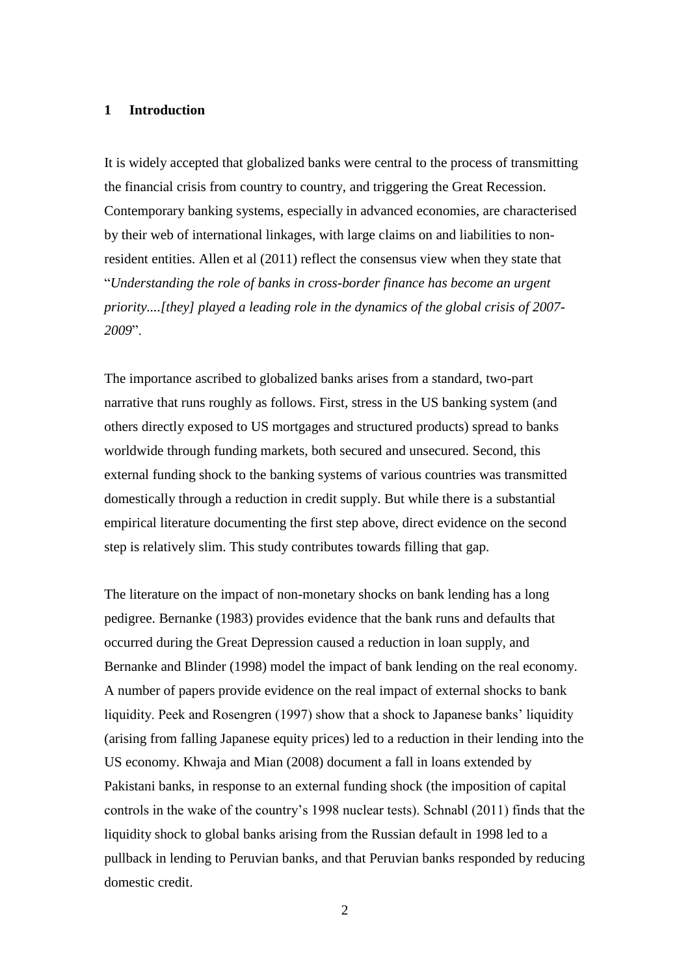## **1 Introduction**

It is widely accepted that globalized banks were central to the process of transmitting the financial crisis from country to country, and triggering the Great Recession. Contemporary banking systems, especially in advanced economies, are characterised by their web of international linkages, with large claims on and liabilities to nonresident entities. Allen et al (2011) reflect the consensus view when they state that "*Understanding the role of banks in cross-border finance has become an urgent priority....[they] played a leading role in the dynamics of the global crisis of 2007- 2009*".

The importance ascribed to globalized banks arises from a standard, two-part narrative that runs roughly as follows. First, stress in the US banking system (and others directly exposed to US mortgages and structured products) spread to banks worldwide through funding markets, both secured and unsecured. Second, this external funding shock to the banking systems of various countries was transmitted domestically through a reduction in credit supply. But while there is a substantial empirical literature documenting the first step above, direct evidence on the second step is relatively slim. This study contributes towards filling that gap.

The literature on the impact of non-monetary shocks on bank lending has a long pedigree. Bernanke (1983) provides evidence that the bank runs and defaults that occurred during the Great Depression caused a reduction in loan supply, and Bernanke and Blinder (1998) model the impact of bank lending on the real economy. A number of papers provide evidence on the real impact of external shocks to bank liquidity. Peek and Rosengren (1997) show that a shock to Japanese banks' liquidity (arising from falling Japanese equity prices) led to a reduction in their lending into the US economy. Khwaja and Mian (2008) document a fall in loans extended by Pakistani banks, in response to an external funding shock (the imposition of capital controls in the wake of the country"s 1998 nuclear tests). Schnabl (2011) finds that the liquidity shock to global banks arising from the Russian default in 1998 led to a pullback in lending to Peruvian banks, and that Peruvian banks responded by reducing domestic credit.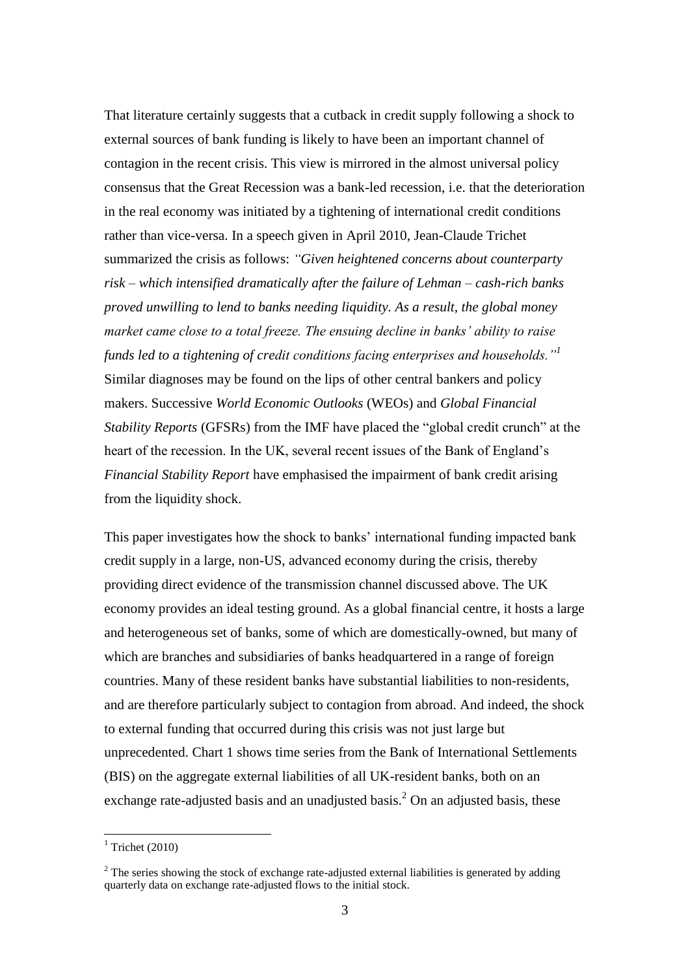That literature certainly suggests that a cutback in credit supply following a shock to external sources of bank funding is likely to have been an important channel of contagion in the recent crisis. This view is mirrored in the almost universal policy consensus that the Great Recession was a bank-led recession, i.e. that the deterioration in the real economy was initiated by a tightening of international credit conditions rather than vice-versa. In a speech given in April 2010, Jean-Claude Trichet summarized the crisis as follows: *"Given heightened concerns about counterparty risk – which intensified dramatically after the failure of Lehman – cash-rich banks proved unwilling to lend to banks needing liquidity. As a result, the global money market came close to a total freeze. The ensuing decline in banks' ability to raise funds led to a tightening of credit conditions facing enterprises and households."<sup>1</sup>* Similar diagnoses may be found on the lips of other central bankers and policy makers. Successive *World Economic Outlooks* (WEOs) and *Global Financial Stability Reports* (GFSRs) from the IMF have placed the "global credit crunch" at the heart of the recession. In the UK, several recent issues of the Bank of England"s *Financial Stability Report* have emphasised the impairment of bank credit arising from the liquidity shock.

This paper investigates how the shock to banks' international funding impacted bank credit supply in a large, non-US, advanced economy during the crisis, thereby providing direct evidence of the transmission channel discussed above. The UK economy provides an ideal testing ground. As a global financial centre, it hosts a large and heterogeneous set of banks, some of which are domestically-owned, but many of which are branches and subsidiaries of banks headquartered in a range of foreign countries. Many of these resident banks have substantial liabilities to non-residents, and are therefore particularly subject to contagion from abroad. And indeed, the shock to external funding that occurred during this crisis was not just large but unprecedented. Chart 1 shows time series from the Bank of International Settlements (BIS) on the aggregate external liabilities of all UK-resident banks, both on an exchange rate-adjusted basis and an unadjusted basis.<sup>2</sup> On an adjusted basis, these

<u>.</u>

 $1$  Trichet (2010)

 $2$  The series showing the stock of exchange rate-adjusted external liabilities is generated by adding quarterly data on exchange rate-adjusted flows to the initial stock.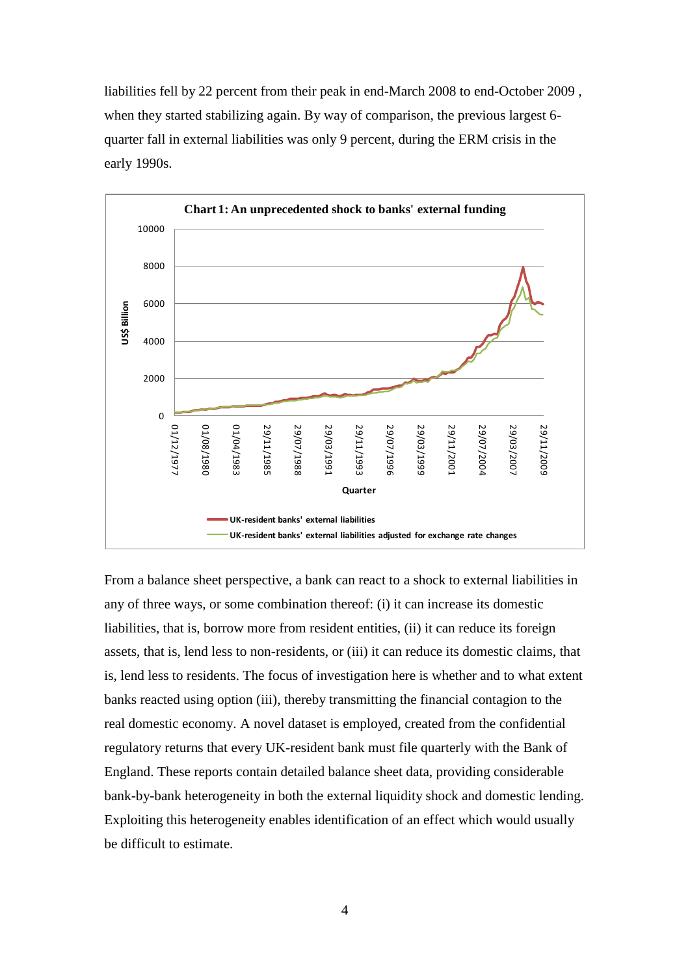liabilities fell by 22 percent from their peak in end-March 2008 to end-October 2009 , when they started stabilizing again. By way of comparison, the previous largest 6 quarter fall in external liabilities was only 9 percent, during the ERM crisis in the early 1990s.



From a balance sheet perspective, a bank can react to a shock to external liabilities in any of three ways, or some combination thereof: (i) it can increase its domestic liabilities, that is, borrow more from resident entities, (ii) it can reduce its foreign assets, that is, lend less to non-residents, or (iii) it can reduce its domestic claims, that is, lend less to residents. The focus of investigation here is whether and to what extent banks reacted using option (iii), thereby transmitting the financial contagion to the real domestic economy. A novel dataset is employed, created from the confidential regulatory returns that every UK-resident bank must file quarterly with the Bank of England. These reports contain detailed balance sheet data, providing considerable bank-by-bank heterogeneity in both the external liquidity shock and domestic lending. Exploiting this heterogeneity enables identification of an effect which would usually be difficult to estimate.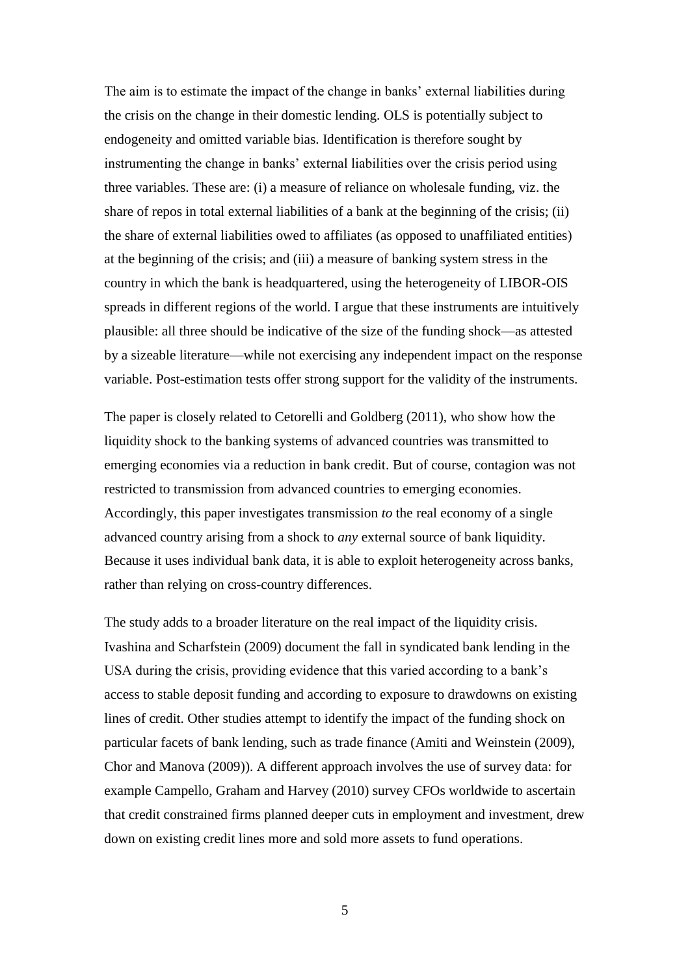The aim is to estimate the impact of the change in banks' external liabilities during the crisis on the change in their domestic lending. OLS is potentially subject to endogeneity and omitted variable bias. Identification is therefore sought by instrumenting the change in banks' external liabilities over the crisis period using three variables. These are: (i) a measure of reliance on wholesale funding, viz. the share of repos in total external liabilities of a bank at the beginning of the crisis; (ii) the share of external liabilities owed to affiliates (as opposed to unaffiliated entities) at the beginning of the crisis; and (iii) a measure of banking system stress in the country in which the bank is headquartered, using the heterogeneity of LIBOR-OIS spreads in different regions of the world. I argue that these instruments are intuitively plausible: all three should be indicative of the size of the funding shock—as attested by a sizeable literature—while not exercising any independent impact on the response variable. Post-estimation tests offer strong support for the validity of the instruments.

The paper is closely related to Cetorelli and Goldberg (2011), who show how the liquidity shock to the banking systems of advanced countries was transmitted to emerging economies via a reduction in bank credit. But of course, contagion was not restricted to transmission from advanced countries to emerging economies. Accordingly, this paper investigates transmission *to* the real economy of a single advanced country arising from a shock to *any* external source of bank liquidity. Because it uses individual bank data, it is able to exploit heterogeneity across banks, rather than relying on cross-country differences.

The study adds to a broader literature on the real impact of the liquidity crisis. Ivashina and Scharfstein (2009) document the fall in syndicated bank lending in the USA during the crisis, providing evidence that this varied according to a bank"s access to stable deposit funding and according to exposure to drawdowns on existing lines of credit. Other studies attempt to identify the impact of the funding shock on particular facets of bank lending, such as trade finance (Amiti and Weinstein (2009), Chor and Manova (2009)). A different approach involves the use of survey data: for example Campello, Graham and Harvey (2010) survey CFOs worldwide to ascertain that credit constrained firms planned deeper cuts in employment and investment, drew down on existing credit lines more and sold more assets to fund operations.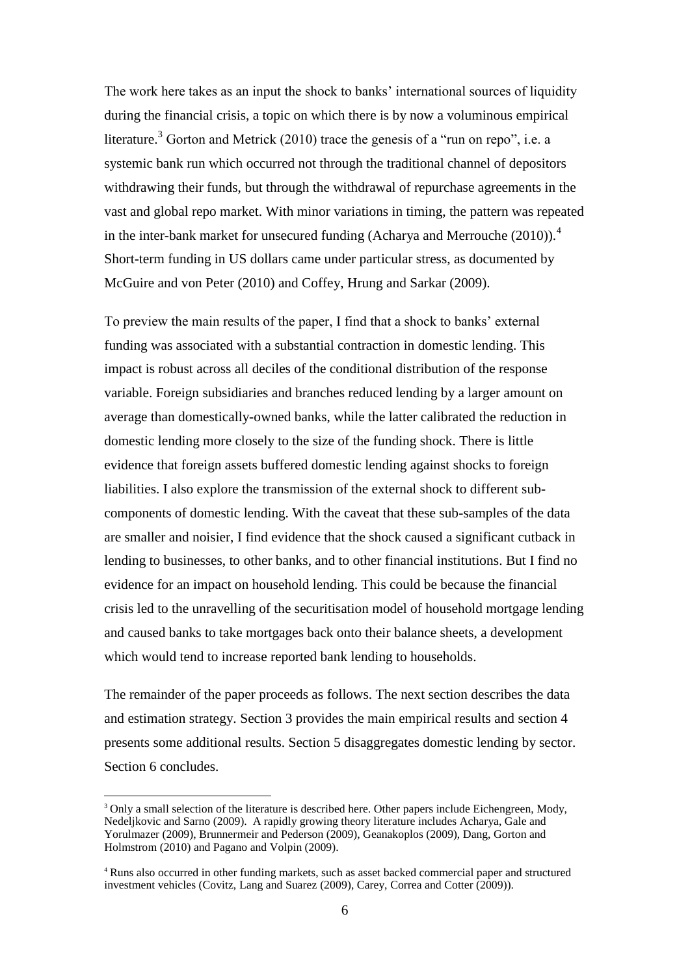The work here takes as an input the shock to banks' international sources of liquidity during the financial crisis, a topic on which there is by now a voluminous empirical literature.<sup>3</sup> Gorton and Metrick (2010) trace the genesis of a "run on repo", i.e. a systemic bank run which occurred not through the traditional channel of depositors withdrawing their funds, but through the withdrawal of repurchase agreements in the vast and global repo market. With minor variations in timing, the pattern was repeated in the inter-bank market for unsecured funding (Acharya and Merrouche  $(2010)$ ).<sup>4</sup> Short-term funding in US dollars came under particular stress, as documented by McGuire and von Peter (2010) and Coffey, Hrung and Sarkar (2009).

To preview the main results of the paper, I find that a shock to banks" external funding was associated with a substantial contraction in domestic lending. This impact is robust across all deciles of the conditional distribution of the response variable. Foreign subsidiaries and branches reduced lending by a larger amount on average than domestically-owned banks, while the latter calibrated the reduction in domestic lending more closely to the size of the funding shock. There is little evidence that foreign assets buffered domestic lending against shocks to foreign liabilities. I also explore the transmission of the external shock to different subcomponents of domestic lending. With the caveat that these sub-samples of the data are smaller and noisier, I find evidence that the shock caused a significant cutback in lending to businesses, to other banks, and to other financial institutions. But I find no evidence for an impact on household lending. This could be because the financial crisis led to the unravelling of the securitisation model of household mortgage lending and caused banks to take mortgages back onto their balance sheets, a development which would tend to increase reported bank lending to households.

The remainder of the paper proceeds as follows. The next section describes the data and estimation strategy. Section 3 provides the main empirical results and section 4 presents some additional results. Section 5 disaggregates domestic lending by sector. Section 6 concludes.

<sup>&</sup>lt;sup>3</sup> Only a small selection of the literature is described here. Other papers include Eichengreen, Mody, Nedeljkovic and Sarno (2009). A rapidly growing theory literature includes Acharya, Gale and Yorulmazer (2009), Brunnermeir and Pederson (2009), Geanakoplos (2009), Dang, Gorton and Holmstrom (2010) and Pagano and Volpin (2009).

<sup>4</sup> Runs also occurred in other funding markets, such as asset backed commercial paper and structured investment vehicles (Covitz, Lang and Suarez (2009), Carey, Correa and Cotter (2009)).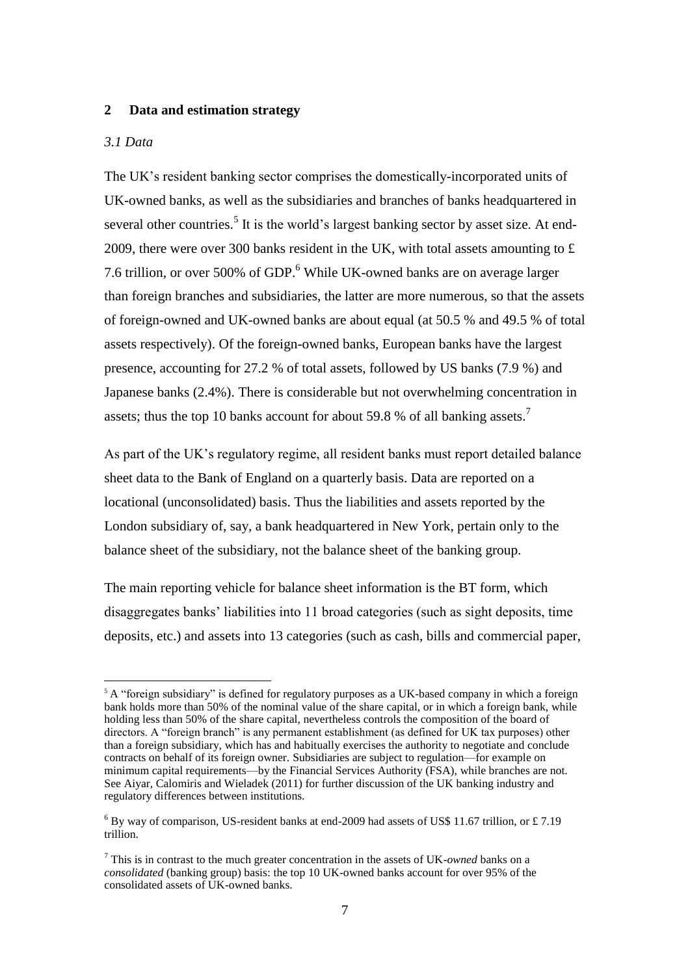#### **2 Data and estimation strategy**

#### *3.1 Data*

1

The UK"s resident banking sector comprises the domestically-incorporated units of UK-owned banks, as well as the subsidiaries and branches of banks headquartered in several other countries.<sup>5</sup> It is the world's largest banking sector by asset size. At end-2009, there were over 300 banks resident in the UK, with total assets amounting to £ 7.6 trillion, or over 500% of GDP.<sup>6</sup> While UK-owned banks are on average larger than foreign branches and subsidiaries, the latter are more numerous, so that the assets of foreign-owned and UK-owned banks are about equal (at 50.5 % and 49.5 % of total assets respectively). Of the foreign-owned banks, European banks have the largest presence, accounting for 27.2 % of total assets, followed by US banks (7.9 %) and Japanese banks (2.4%). There is considerable but not overwhelming concentration in assets; thus the top 10 banks account for about 59.8 % of all banking assets.<sup>7</sup>

As part of the UK"s regulatory regime, all resident banks must report detailed balance sheet data to the Bank of England on a quarterly basis. Data are reported on a locational (unconsolidated) basis. Thus the liabilities and assets reported by the London subsidiary of, say, a bank headquartered in New York, pertain only to the balance sheet of the subsidiary, not the balance sheet of the banking group.

The main reporting vehicle for balance sheet information is the BT form, which disaggregates banks" liabilities into 11 broad categories (such as sight deposits, time deposits, etc.) and assets into 13 categories (such as cash, bills and commercial paper,

<sup>&</sup>lt;sup>5</sup> A "foreign subsidiary" is defined for regulatory purposes as a UK-based company in which a foreign bank holds more than 50% of the nominal value of the share capital, or in which a foreign bank, while holding less than 50% of the share capital, nevertheless controls the composition of the board of directors. A "foreign branch" is any permanent establishment (as defined for UK tax purposes) other than a foreign subsidiary, which has and habitually exercises the authority to negotiate and conclude contracts on behalf of its foreign owner. Subsidiaries are subject to regulation—for example on minimum capital requirements—by the Financial Services Authority (FSA), while branches are not. See Aiyar, Calomiris and Wieladek (2011) for further discussion of the UK banking industry and regulatory differences between institutions.

 $6$  By way of comparison, US-resident banks at end-2009 had assets of US\$ 11.67 trillion, or £7.19 trillion.

<sup>7</sup> This is in contrast to the much greater concentration in the assets of UK-*owned* banks on a *consolidated* (banking group) basis: the top 10 UK-owned banks account for over 95% of the consolidated assets of UK-owned banks.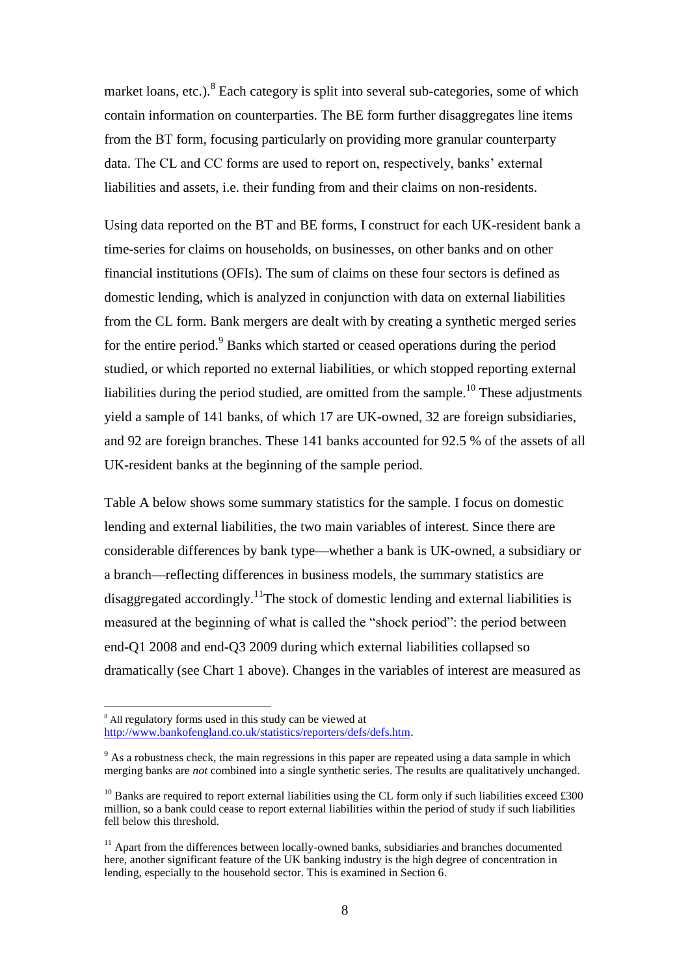market loans, etc.).<sup>8</sup> Each category is split into several sub-categories, some of which contain information on counterparties. The BE form further disaggregates line items from the BT form, focusing particularly on providing more granular counterparty data. The CL and CC forms are used to report on, respectively, banks' external liabilities and assets, i.e. their funding from and their claims on non-residents.

Using data reported on the BT and BE forms, I construct for each UK-resident bank a time-series for claims on households, on businesses, on other banks and on other financial institutions (OFIs). The sum of claims on these four sectors is defined as domestic lending, which is analyzed in conjunction with data on external liabilities from the CL form. Bank mergers are dealt with by creating a synthetic merged series for the entire period.<sup>9</sup> Banks which started or ceased operations during the period studied, or which reported no external liabilities, or which stopped reporting external liabilities during the period studied, are omitted from the sample.<sup>10</sup> These adjustments yield a sample of 141 banks, of which 17 are UK-owned, 32 are foreign subsidiaries, and 92 are foreign branches. These 141 banks accounted for 92.5 % of the assets of all UK-resident banks at the beginning of the sample period.

Table A below shows some summary statistics for the sample. I focus on domestic lending and external liabilities, the two main variables of interest. Since there are considerable differences by bank type—whether a bank is UK-owned, a subsidiary or a branch—reflecting differences in business models, the summary statistics are disaggregated accordingly.<sup>11</sup>The stock of domestic lending and external liabilities is measured at the beginning of what is called the "shock period": the period between end-Q1 2008 and end-Q3 2009 during which external liabilities collapsed so dramatically (see Chart 1 above). Changes in the variables of interest are measured as

<sup>&</sup>lt;sup>8</sup> All regulatory forms used in this study can be viewed at [http://www.bankofengland.co.uk/statistics/reporters/defs/defs.htm.](http://www.bankofengland.co.uk/statistics/reporters/defs/defs.htm)

 $9<sup>9</sup>$  As a robustness check, the main regressions in this paper are repeated using a data sample in which merging banks are *not* combined into a single synthetic series. The results are qualitatively unchanged.

 $10$  Banks are required to report external liabilities using the CL form only if such liabilities exceed £300 million, so a bank could cease to report external liabilities within the period of study if such liabilities fell below this threshold.

 $11$  Apart from the differences between locally-owned banks, subsidiaries and branches documented here, another significant feature of the UK banking industry is the high degree of concentration in lending, especially to the household sector. This is examined in Section 6.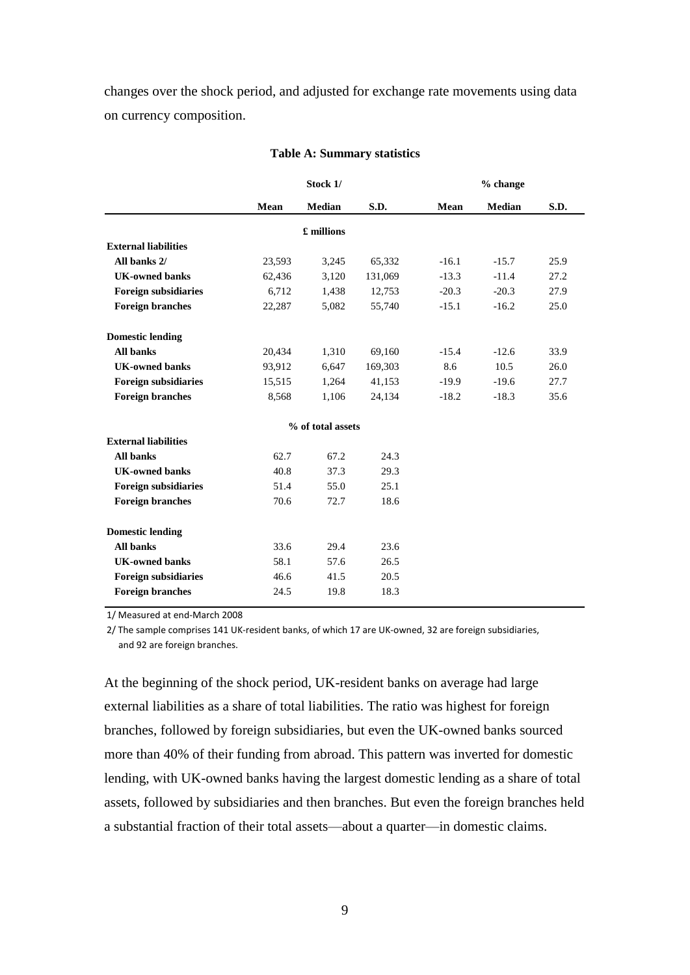changes over the shock period, and adjusted for exchange rate movements using data on currency composition.

| Stock 1/ |            |         | % change          |         |      |  |
|----------|------------|---------|-------------------|---------|------|--|
| Mean     | Median     | S.D.    | Mean              | Median  | S.D. |  |
|          | £ millions |         |                   |         |      |  |
|          |            |         |                   |         |      |  |
| 23,593   | 3,245      | 65,332  | $-16.1$           | $-15.7$ | 25.9 |  |
| 62,436   | 3,120      | 131,069 | $-13.3$           | $-11.4$ | 27.2 |  |
| 6,712    | 1,438      | 12,753  | $-20.3$           | $-20.3$ | 27.9 |  |
| 22,287   | 5,082      | 55,740  | $-15.1$           | $-16.2$ | 25.0 |  |
|          |            |         |                   |         |      |  |
| 20,434   | 1,310      | 69,160  | $-15.4$           | $-12.6$ | 33.9 |  |
| 93,912   | 6,647      | 169,303 | 8.6               | 10.5    | 26.0 |  |
| 15,515   | 1,264      | 41,153  | $-19.9$           | $-19.6$ | 27.7 |  |
| 8,568    | 1,106      | 24,134  | $-18.2$           | $-18.3$ | 35.6 |  |
|          |            |         |                   |         |      |  |
|          |            |         |                   |         |      |  |
| 62.7     | 67.2       | 24.3    |                   |         |      |  |
| 40.8     | 37.3       | 29.3    |                   |         |      |  |
| 51.4     | 55.0       | 25.1    |                   |         |      |  |
| 70.6     | 72.7       | 18.6    |                   |         |      |  |
|          |            |         |                   |         |      |  |
| 33.6     | 29.4       | 23.6    |                   |         |      |  |
| 58.1     | 57.6       | 26.5    |                   |         |      |  |
| 46.6     | 41.5       | 20.5    |                   |         |      |  |
| 24.5     | 19.8       | 18.3    |                   |         |      |  |
|          |            |         | % of total assets |         |      |  |

#### **Table A: Summary statistics**

1/ Measured at end-March 2008

2/ The sample comprises 141 UK-resident banks, of which 17 are UK-owned, 32 are foreign subsidiaries, and 92 are foreign branches.

At the beginning of the shock period, UK-resident banks on average had large external liabilities as a share of total liabilities. The ratio was highest for foreign branches, followed by foreign subsidiaries, but even the UK-owned banks sourced more than 40% of their funding from abroad. This pattern was inverted for domestic lending, with UK-owned banks having the largest domestic lending as a share of total assets, followed by subsidiaries and then branches. But even the foreign branches held a substantial fraction of their total assets—about a quarter—in domestic claims.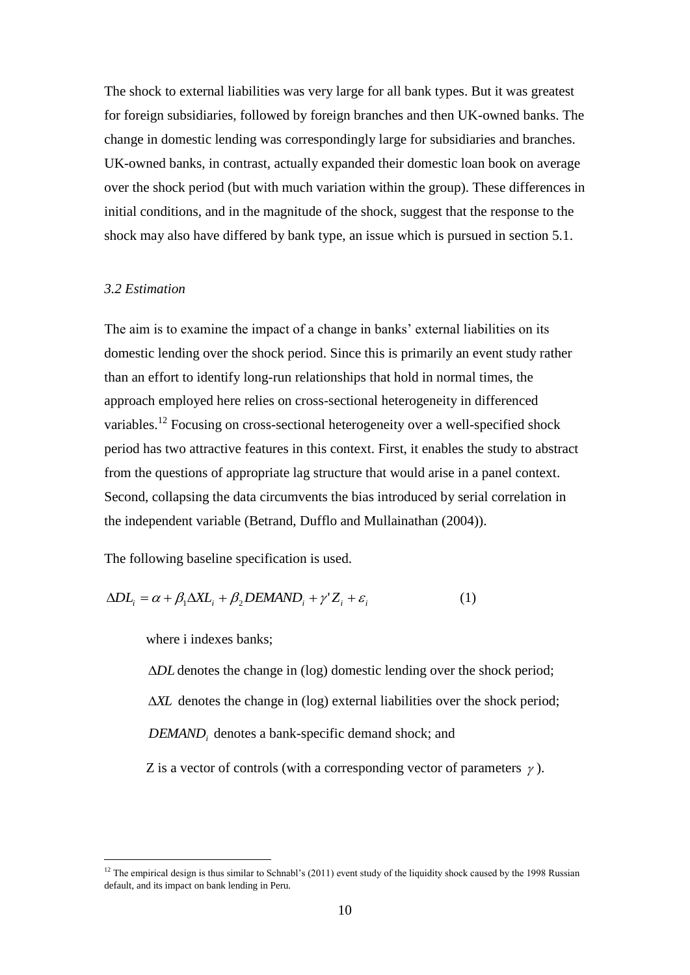The shock to external liabilities was very large for all bank types. But it was greatest for foreign subsidiaries, followed by foreign branches and then UK-owned banks. The change in domestic lending was correspondingly large for subsidiaries and branches. UK-owned banks, in contrast, actually expanded their domestic loan book on average over the shock period (but with much variation within the group). These differences in initial conditions, and in the magnitude of the shock, suggest that the response to the shock may also have differed by bank type, an issue which is pursued in section 5.1.

#### *3.2 Estimation*

The aim is to examine the impact of a change in banks' external liabilities on its domestic lending over the shock period. Since this is primarily an event study rather than an effort to identify long-run relationships that hold in normal times, the approach employed here relies on cross-sectional heterogeneity in differenced variables.<sup>12</sup> Focusing on cross-sectional heterogeneity over a well-specified shock period has two attractive features in this context. First, it enables the study to abstract from the questions of appropriate lag structure that would arise in a panel context. Second, collapsing the data circumvents the bias introduced by serial correlation in the independent variable (Betrand, Dufflo and Mullainathan (2004)).

The following baseline specification is used.

$$
\Delta DL_i = \alpha + \beta_1 \Delta XL_i + \beta_2 DEMAND_i + \gamma' Z_i + \varepsilon_i \tag{1}
$$

where i indexes banks;

1

ΔDL denotes the change in (log) domestic lending over the shock period; *XL* denotes the change in (log) external liabilities over the shock period; *DEMAND<sup>i</sup>* denotes a bank-specific demand shock; and Z is a vector of controls (with a corresponding vector of parameters  $\gamma$ ).

<sup>&</sup>lt;sup>12</sup> The empirical design is thus similar to Schnabl's (2011) event study of the liquidity shock caused by the 1998 Russian default, and its impact on bank lending in Peru.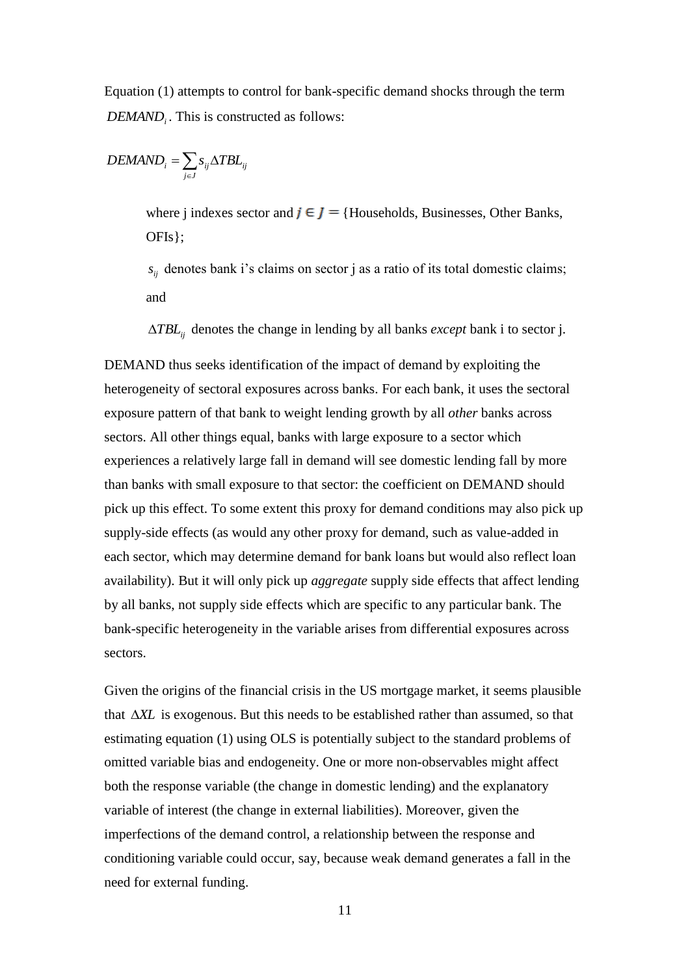Equation (1) attempts to control for bank-specific demand shocks through the term *DEMAND<sup>i</sup>* . This is constructed as follows:

$$
DEMAND_i = \sum_{j \in J} s_{ij} \Delta TBL_{ij}
$$

where j indexes sector and  $j \in J$  = {Households, Businesses, Other Banks, OFIs};

 $s_{ij}$  denotes bank i's claims on sector j as a ratio of its total domestic claims; and

*TBLij* denotes the change in lending by all banks *except* bank i to sector j.

DEMAND thus seeks identification of the impact of demand by exploiting the heterogeneity of sectoral exposures across banks. For each bank, it uses the sectoral exposure pattern of that bank to weight lending growth by all *other* banks across sectors. All other things equal, banks with large exposure to a sector which experiences a relatively large fall in demand will see domestic lending fall by more than banks with small exposure to that sector: the coefficient on DEMAND should pick up this effect. To some extent this proxy for demand conditions may also pick up supply-side effects (as would any other proxy for demand, such as value-added in each sector, which may determine demand for bank loans but would also reflect loan availability). But it will only pick up *aggregate* supply side effects that affect lending by all banks, not supply side effects which are specific to any particular bank. The bank-specific heterogeneity in the variable arises from differential exposures across sectors.

Given the origins of the financial crisis in the US mortgage market, it seems plausible that *XL* is exogenous. But this needs to be established rather than assumed, so that estimating equation (1) using OLS is potentially subject to the standard problems of omitted variable bias and endogeneity. One or more non-observables might affect both the response variable (the change in domestic lending) and the explanatory variable of interest (the change in external liabilities). Moreover, given the imperfections of the demand control, a relationship between the response and conditioning variable could occur, say, because weak demand generates a fall in the need for external funding.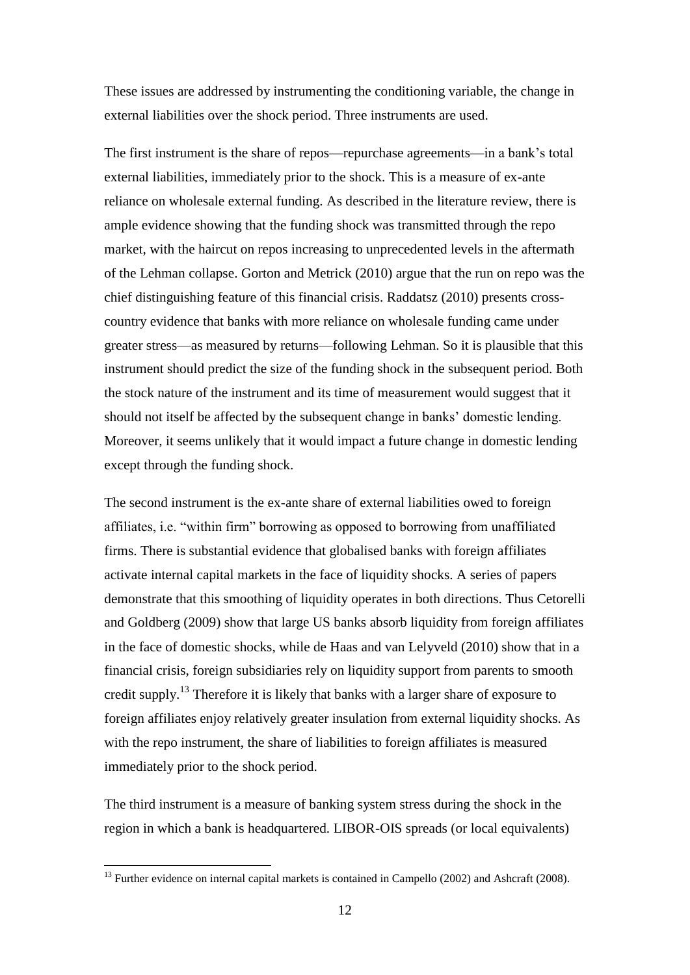These issues are addressed by instrumenting the conditioning variable, the change in external liabilities over the shock period. Three instruments are used.

The first instrument is the share of repos—repurchase agreements—in a bank"s total external liabilities, immediately prior to the shock. This is a measure of ex-ante reliance on wholesale external funding. As described in the literature review, there is ample evidence showing that the funding shock was transmitted through the repo market, with the haircut on repos increasing to unprecedented levels in the aftermath of the Lehman collapse. Gorton and Metrick (2010) argue that the run on repo was the chief distinguishing feature of this financial crisis. Raddatsz (2010) presents crosscountry evidence that banks with more reliance on wholesale funding came under greater stress—as measured by returns—following Lehman. So it is plausible that this instrument should predict the size of the funding shock in the subsequent period. Both the stock nature of the instrument and its time of measurement would suggest that it should not itself be affected by the subsequent change in banks" domestic lending. Moreover, it seems unlikely that it would impact a future change in domestic lending except through the funding shock.

The second instrument is the ex-ante share of external liabilities owed to foreign affiliates, i.e. "within firm" borrowing as opposed to borrowing from unaffiliated firms. There is substantial evidence that globalised banks with foreign affiliates activate internal capital markets in the face of liquidity shocks. A series of papers demonstrate that this smoothing of liquidity operates in both directions. Thus Cetorelli and Goldberg (2009) show that large US banks absorb liquidity from foreign affiliates in the face of domestic shocks, while de Haas and van Lelyveld (2010) show that in a financial crisis, foreign subsidiaries rely on liquidity support from parents to smooth credit supply.<sup>13</sup> Therefore it is likely that banks with a larger share of exposure to foreign affiliates enjoy relatively greater insulation from external liquidity shocks. As with the repo instrument, the share of liabilities to foreign affiliates is measured immediately prior to the shock period.

The third instrument is a measure of banking system stress during the shock in the region in which a bank is headquartered. LIBOR-OIS spreads (or local equivalents)

<u>.</u>

<sup>&</sup>lt;sup>13</sup> Further evidence on internal capital markets is contained in Campello (2002) and Ashcraft (2008).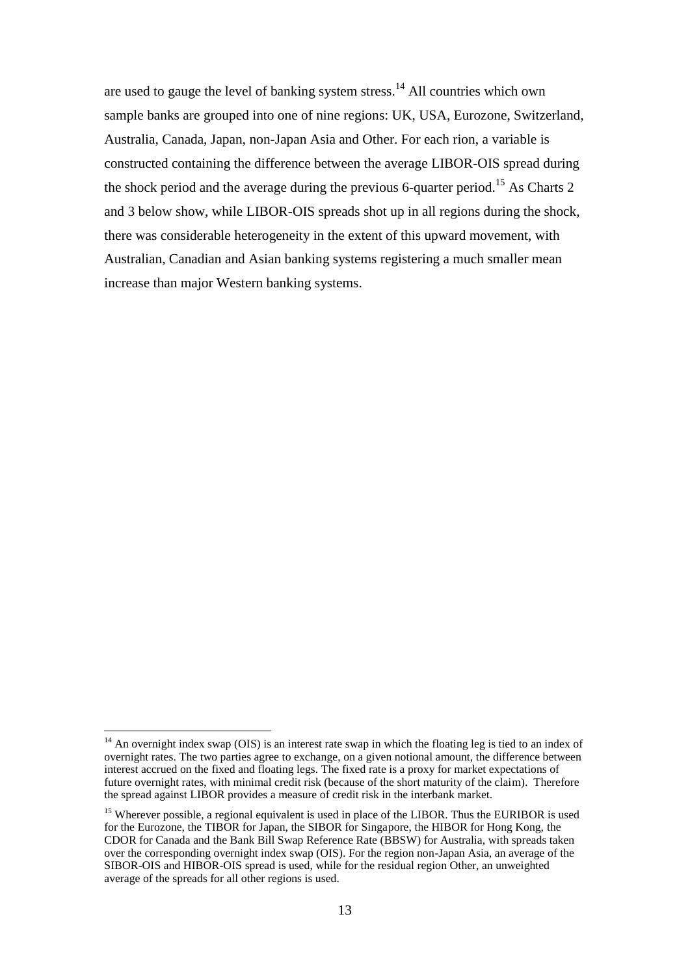are used to gauge the level of banking system stress.<sup>14</sup> All countries which own sample banks are grouped into one of nine regions: UK, USA, Eurozone, Switzerland, Australia, Canada, Japan, non-Japan Asia and Other. For each rion, a variable is constructed containing the difference between the average LIBOR-OIS spread during the shock period and the average during the previous 6-quarter period.<sup>15</sup> As Charts 2 and 3 below show, while LIBOR-OIS spreads shot up in all regions during the shock, there was considerable heterogeneity in the extent of this upward movement, with Australian, Canadian and Asian banking systems registering a much smaller mean increase than major Western banking systems.

 $14$  An overnight index swap (OIS) is an interest rate swap in which the floating leg is tied to an index of overnight rates. The two parties agree to exchange, on a given notional amount, the difference between interest accrued on the fixed and floating legs. The fixed rate is a proxy for market expectations of future overnight rates, with minimal credit risk (because of the short maturity of the claim). Therefore the spread against LIBOR provides a measure of credit risk in the interbank market.

<sup>&</sup>lt;sup>15</sup> Wherever possible, a regional equivalent is used in place of the LIBOR. Thus the EURIBOR is used for the Eurozone, the TIBOR for Japan, the SIBOR for Singapore, the HIBOR for Hong Kong, the CDOR for Canada and the Bank Bill Swap Reference Rate (BBSW) for Australia, with spreads taken over the corresponding overnight index swap (OIS). For the region non-Japan Asia, an average of the SIBOR-OIS and HIBOR-OIS spread is used, while for the residual region Other, an unweighted average of the spreads for all other regions is used.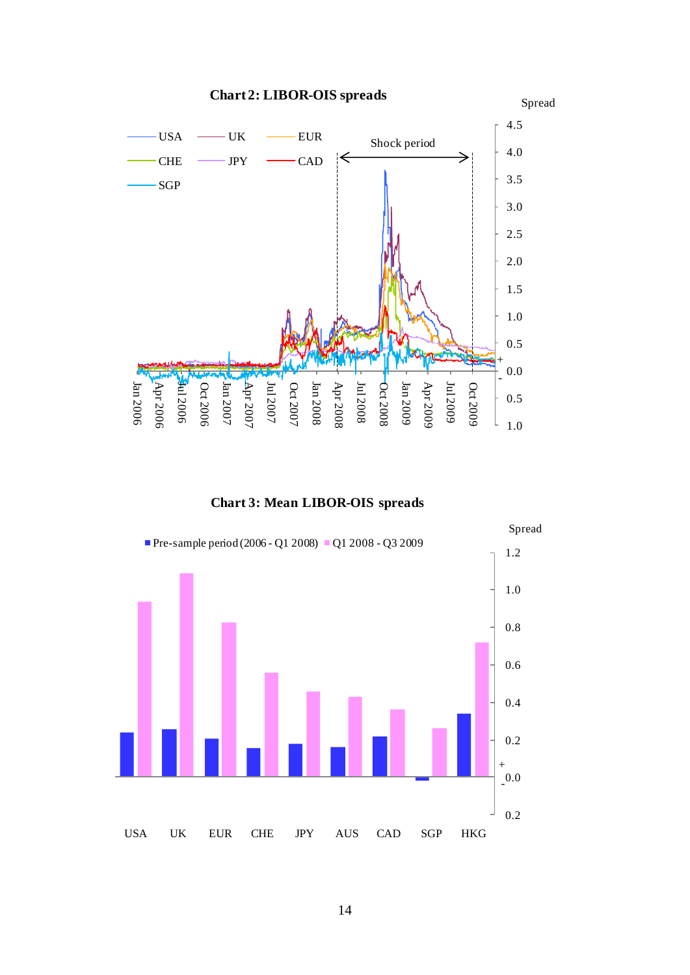Spread



**Chart 2: LIBOR-OIS spreads**

**Chart 3: Mean LIBOR-OIS spreads**

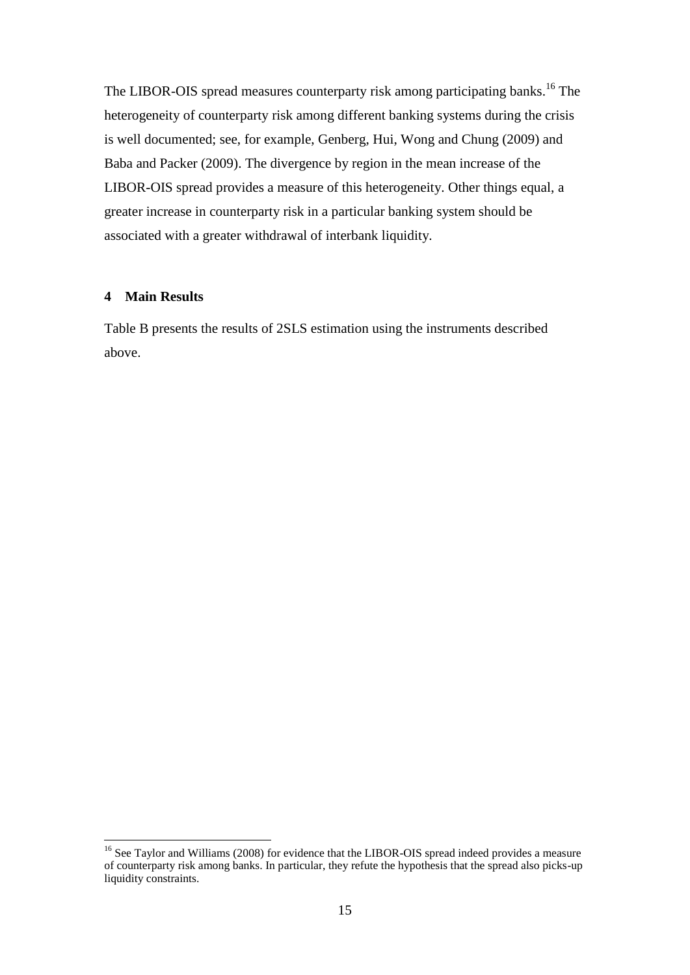The LIBOR-OIS spread measures counterparty risk among participating banks.<sup>16</sup> The heterogeneity of counterparty risk among different banking systems during the crisis is well documented; see, for example, Genberg, Hui, Wong and Chung (2009) and Baba and Packer (2009). The divergence by region in the mean increase of the LIBOR-OIS spread provides a measure of this heterogeneity. Other things equal, a greater increase in counterparty risk in a particular banking system should be associated with a greater withdrawal of interbank liquidity.

#### **4 Main Results**

1

Table B presents the results of 2SLS estimation using the instruments described above.

<sup>&</sup>lt;sup>16</sup> See Taylor and Williams (2008) for evidence that the LIBOR-OIS spread indeed provides a measure of counterparty risk among banks. In particular, they refute the hypothesis that the spread also picks-up liquidity constraints.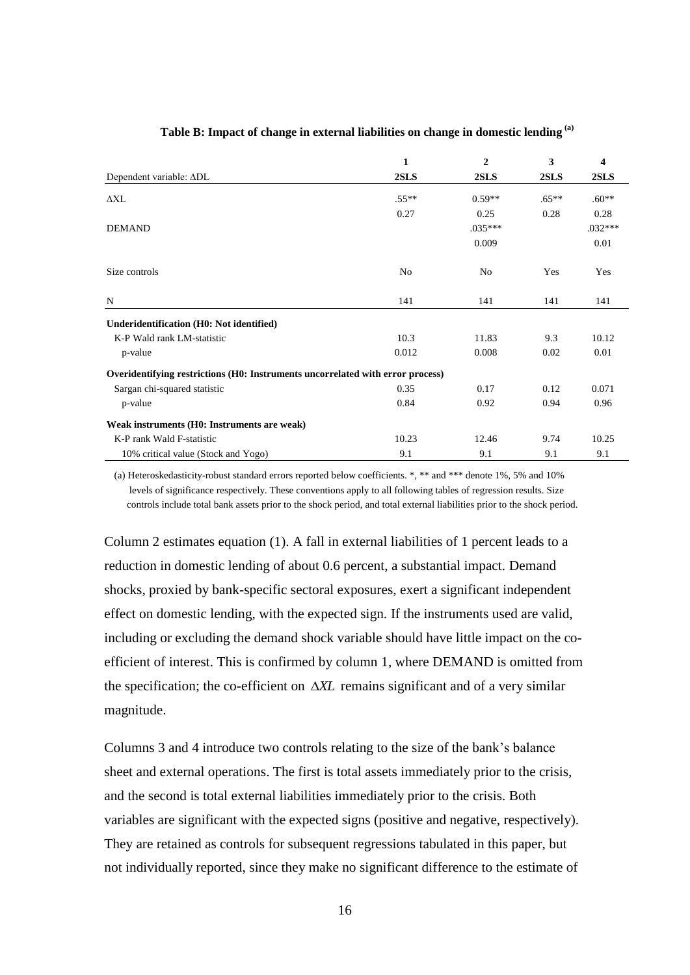|                                                                                | 1       | $\overline{2}$ | 3       | 4         |
|--------------------------------------------------------------------------------|---------|----------------|---------|-----------|
| Dependent variable: ADL                                                        | 2SLS    | 2SLS           | 2SLS    | 2SLS      |
| $\Delta X L$                                                                   | $.55**$ | $0.59**$       | $.65**$ | $.60**$   |
|                                                                                | 0.27    | 0.25           | 0.28    | 0.28      |
| <b>DEMAND</b>                                                                  |         | $.035***$      |         | $.032***$ |
|                                                                                |         | 0.009          |         | 0.01      |
| Size controls                                                                  | No      | No             | Yes     | Yes       |
| N                                                                              | 141     | 141            | 141     | 141       |
| Underidentification (H0: Not identified)                                       |         |                |         |           |
| K-P Wald rank LM-statistic                                                     | 10.3    | 11.83          | 9.3     | 10.12     |
| p-value                                                                        | 0.012   | 0.008          | 0.02    | 0.01      |
| Overidentifying restrictions (H0: Instruments uncorrelated with error process) |         |                |         |           |
| Sargan chi-squared statistic                                                   | 0.35    | 0.17           | 0.12    | 0.071     |
| p-value                                                                        | 0.84    | 0.92           | 0.94    | 0.96      |
| Weak instruments (H0: Instruments are weak)                                    |         |                |         |           |
| K-P rank Wald F-statistic                                                      | 10.23   | 12.46          | 9.74    | 10.25     |
| 10% critical value (Stock and Yogo)                                            | 9.1     | 9.1            | 9.1     | 9.1       |

#### **Table B: Impact of change in external liabilities on change in domestic lending (a)**

(a) Heteroskedasticity-robust standard errors reported below coefficients. \*, \*\* and \*\*\* denote 1%, 5% and 10% levels of significance respectively. These conventions apply to all following tables of regression results. Size controls include total bank assets prior to the shock period, and total external liabilities prior to the shock period.

Column 2 estimates equation (1). A fall in external liabilities of 1 percent leads to a reduction in domestic lending of about 0.6 percent, a substantial impact. Demand shocks, proxied by bank-specific sectoral exposures, exert a significant independent effect on domestic lending, with the expected sign. If the instruments used are valid, including or excluding the demand shock variable should have little impact on the coefficient of interest. This is confirmed by column 1, where DEMAND is omitted from the specification; the co-efficient on  $\Delta X L$  remains significant and of a very similar magnitude.

Columns 3 and 4 introduce two controls relating to the size of the bank"s balance sheet and external operations. The first is total assets immediately prior to the crisis, and the second is total external liabilities immediately prior to the crisis. Both variables are significant with the expected signs (positive and negative, respectively). They are retained as controls for subsequent regressions tabulated in this paper, but not individually reported, since they make no significant difference to the estimate of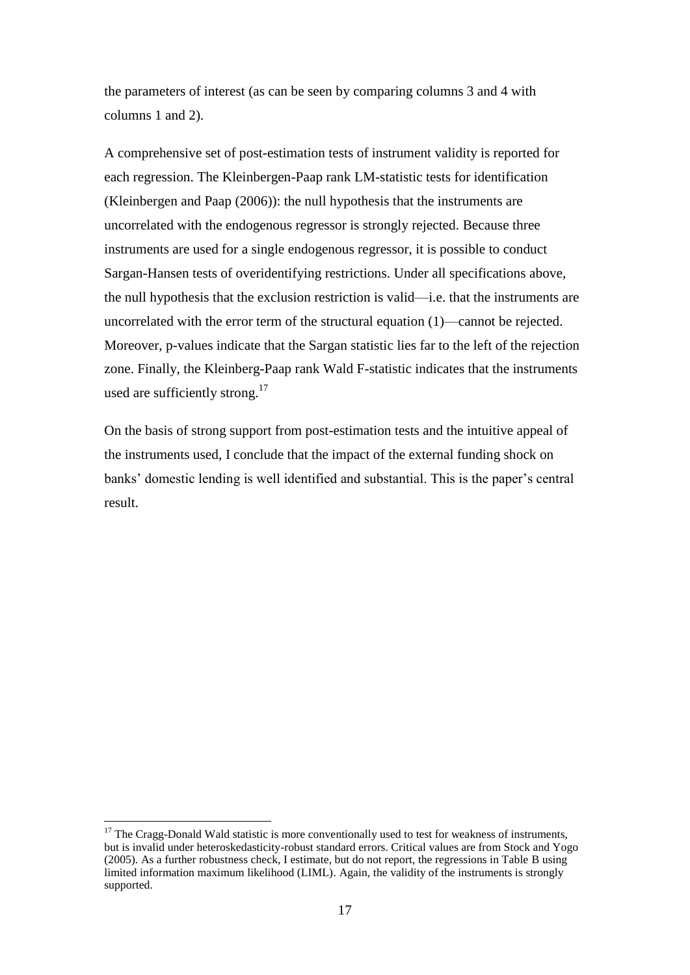the parameters of interest (as can be seen by comparing columns 3 and 4 with columns 1 and 2).

A comprehensive set of post-estimation tests of instrument validity is reported for each regression. The Kleinbergen-Paap rank LM-statistic tests for identification (Kleinbergen and Paap (2006)): the null hypothesis that the instruments are uncorrelated with the endogenous regressor is strongly rejected. Because three instruments are used for a single endogenous regressor, it is possible to conduct Sargan-Hansen tests of overidentifying restrictions. Under all specifications above, the null hypothesis that the exclusion restriction is valid—i.e. that the instruments are uncorrelated with the error term of the structural equation (1)—cannot be rejected. Moreover, p-values indicate that the Sargan statistic lies far to the left of the rejection zone. Finally, the Kleinberg-Paap rank Wald F-statistic indicates that the instruments used are sufficiently strong.<sup>17</sup>

On the basis of strong support from post-estimation tests and the intuitive appeal of the instruments used, I conclude that the impact of the external funding shock on banks" domestic lending is well identified and substantial. This is the paper"s central result.

 $17$  The Cragg-Donald Wald statistic is more conventionally used to test for weakness of instruments, but is invalid under heteroskedasticity-robust standard errors. Critical values are from Stock and Yogo (2005). As a further robustness check, I estimate, but do not report, the regressions in Table B using limited information maximum likelihood (LIML). Again, the validity of the instruments is strongly supported.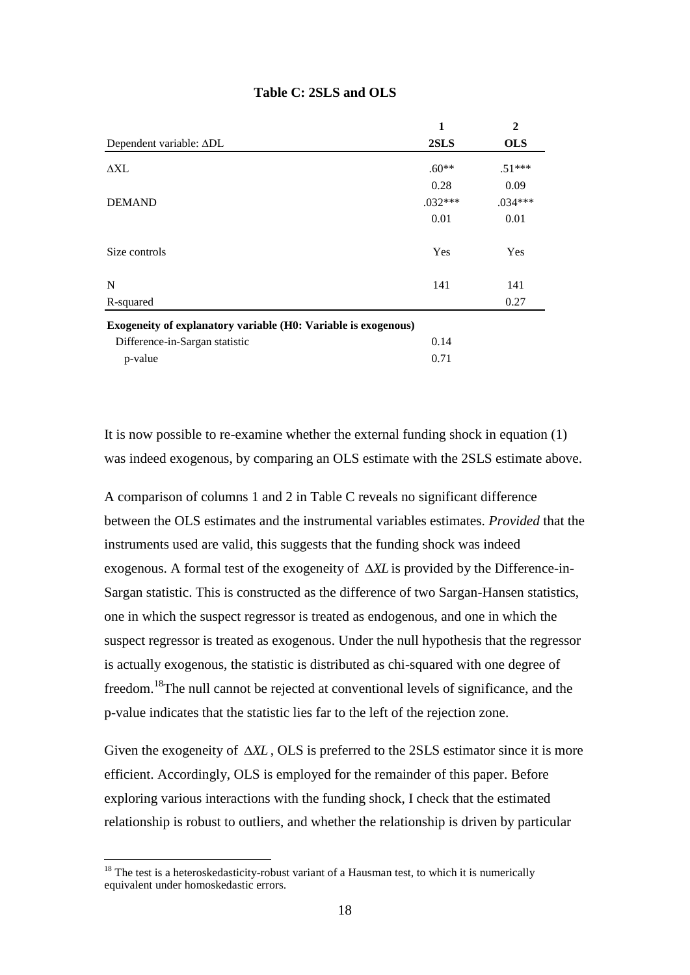|                                                                                                                                              | $\mathbf{1}$ | $\mathbf{2}$ |
|----------------------------------------------------------------------------------------------------------------------------------------------|--------------|--------------|
| Dependent variable: ADL                                                                                                                      | 2SLS         | <b>OLS</b>   |
| $\Delta X L$                                                                                                                                 | $.60**$      | $.51***$     |
|                                                                                                                                              | 0.28         | 0.09         |
| <b>DEMAND</b>                                                                                                                                | $.032***$    | .034***      |
|                                                                                                                                              | 0.01         | 0.01         |
| Size controls                                                                                                                                | Yes          | Yes          |
| N                                                                                                                                            | 141          | 141          |
| R-squared                                                                                                                                    |              | 0.27         |
| Exogeneity of explanatory variable (H0: Variable is exogenous)                                                                               |              |              |
| Difference-in-Sargan statistic                                                                                                               | 0.14         |              |
| p-value                                                                                                                                      | 0.71         |              |
|                                                                                                                                              |              |              |
| It is now possible to re-examine whether the external funding shock in equation                                                              |              |              |
| was indeed exogenous, by comparing an OLS estimate with the 2SLS estimate                                                                    |              |              |
| A comparison of columns 1 and 2 in Table C reveals no significant difference                                                                 |              |              |
| between the OLS estimates and the instrumental variables estimates. Provided t                                                               |              |              |
| instruments used are valid, this suggests that the funding shock was indeed                                                                  |              |              |
| exogenous. A formal test of the exogeneity of $\Delta X L$ is provided by the Difference                                                     |              |              |
| Sargan statistic. This is constructed as the difference of two Sargan-Hansen states                                                          |              |              |
| one in which the suspect regressor is treated as endogenous, and one in which t                                                              |              |              |
| suspect regressor is treated as exogenous. Under the null hypothesis that the reg                                                            |              |              |
| is actually exogenous, the statistic is distributed as chi-squared with one degree                                                           |              |              |
| freedom. <sup>18</sup> The null cannot be rejected at conventional levels of significance, an                                                |              |              |
| p-value indicates that the statistic lies far to the left of the rejection zone.                                                             |              |              |
|                                                                                                                                              |              |              |
| Given the exogeneity of $\Delta X L$ , OLS is preferred to the 2SLS estimator since it is                                                    |              |              |
| efficient. Accordingly, OLS is employed for the remainder of this paper. Before                                                              |              |              |
| exploring various interactions with the funding shock, I check that the estimated                                                            |              |              |
| relationship is robust to outliers, and whether the relationship is driven by partion-                                                       |              |              |
|                                                                                                                                              |              |              |
| $18$ The test is a heteroskedasticity-robust variant of a Hausman test, to which it is numerically<br>equivalent under homoskedastic errors. |              |              |
| 18                                                                                                                                           |              |              |

## **Table C: 2SLS and OLS**

It is now possible to re-examine whether the external funding shock in equation (1) was indeed exogenous, by comparing an OLS estimate with the 2SLS estimate above.

A comparison of columns 1 and 2 in Table C reveals no significant difference between the OLS estimates and the instrumental variables estimates. *Provided* that the instruments used are valid, this suggests that the funding shock was indeed exogenous. A formal test of the exogeneity of *XL* is provided by the Difference-in-Sargan statistic. This is constructed as the difference of two Sargan-Hansen statistics, one in which the suspect regressor is treated as endogenous, and one in which the suspect regressor is treated as exogenous. Under the null hypothesis that the regressor is actually exogenous, the statistic is distributed as chi-squared with one degree of freedom.<sup>18</sup>The null cannot be rejected at conventional levels of significance, and the p-value indicates that the statistic lies far to the left of the rejection zone.

Given the exogeneity of  $\Delta X L$ , OLS is preferred to the 2SLS estimator since it is more efficient. Accordingly, OLS is employed for the remainder of this paper. Before exploring various interactions with the funding shock, I check that the estimated relationship is robust to outliers, and whether the relationship is driven by particular

 $18$  The test is a heteroskedasticity-robust variant of a Hausman test, to which it is numerically equivalent under homoskedastic errors.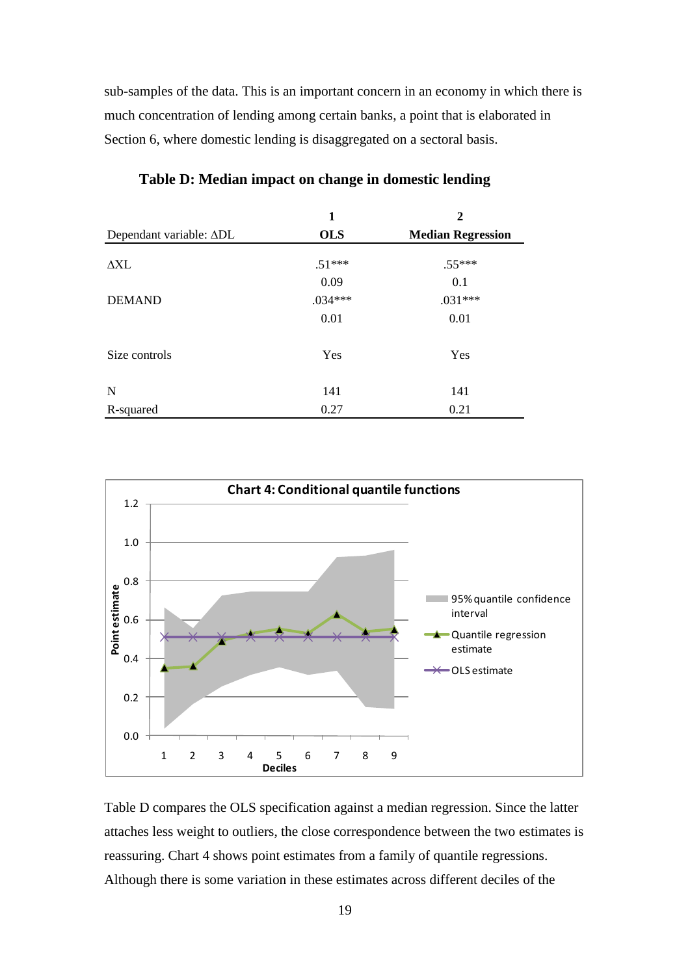sub-samples of the data. This is an important concern in an economy in which there is much concentration of lending among certain banks, a point that is elaborated in Section 6, where domestic lending is disaggregated on a sectoral basis.

|                         | 1          | $\mathbf{2}$             |
|-------------------------|------------|--------------------------|
| Dependant variable: ADL | <b>OLS</b> | <b>Median Regression</b> |
| $\Delta \rm{XL}$        | $.51***$   | $.55***$                 |
|                         | 0.09       | 0.1                      |
| <b>DEMAND</b>           | $.034***$  | $.031***$                |
|                         | 0.01       | 0.01                     |
| Size controls           | Yes        | Yes                      |
| N                       | 141        | 141                      |
| R-squared               | 0.27       | 0.21                     |

## **Table D: Median impact on change in domestic lending**



Table D compares the OLS specification against a median regression. Since the latter attaches less weight to outliers, the close correspondence between the two estimates is reassuring. Chart 4 shows point estimates from a family of quantile regressions. Although there is some variation in these estimates across different deciles of the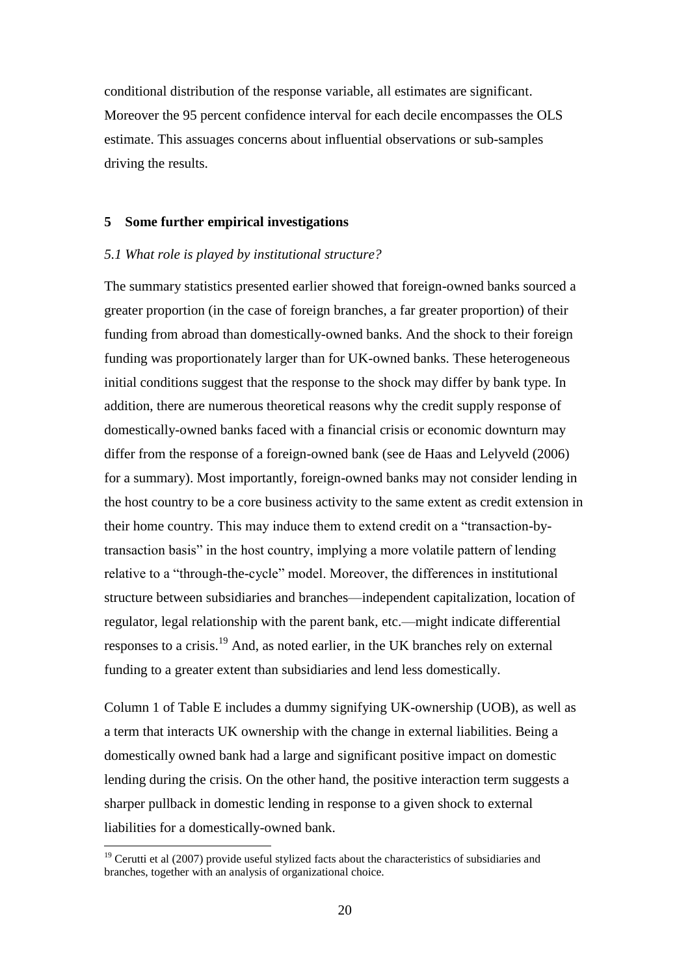conditional distribution of the response variable, all estimates are significant. Moreover the 95 percent confidence interval for each decile encompasses the OLS estimate. This assuages concerns about influential observations or sub-samples driving the results.

## **5 Some further empirical investigations**

#### *5.1 What role is played by institutional structure?*

The summary statistics presented earlier showed that foreign-owned banks sourced a greater proportion (in the case of foreign branches, a far greater proportion) of their funding from abroad than domestically-owned banks. And the shock to their foreign funding was proportionately larger than for UK-owned banks. These heterogeneous initial conditions suggest that the response to the shock may differ by bank type. In addition, there are numerous theoretical reasons why the credit supply response of domestically-owned banks faced with a financial crisis or economic downturn may differ from the response of a foreign-owned bank (see de Haas and Lelyveld (2006) for a summary). Most importantly, foreign-owned banks may not consider lending in the host country to be a core business activity to the same extent as credit extension in their home country. This may induce them to extend credit on a "transaction-bytransaction basis" in the host country, implying a more volatile pattern of lending relative to a "through-the-cycle" model. Moreover, the differences in institutional structure between subsidiaries and branches—independent capitalization, location of regulator, legal relationship with the parent bank, etc.—might indicate differential responses to a crisis.<sup>19</sup> And, as noted earlier, in the UK branches rely on external funding to a greater extent than subsidiaries and lend less domestically.

Column 1 of Table E includes a dummy signifying UK-ownership (UOB), as well as a term that interacts UK ownership with the change in external liabilities. Being a domestically owned bank had a large and significant positive impact on domestic lending during the crisis. On the other hand, the positive interaction term suggests a sharper pullback in domestic lending in response to a given shock to external liabilities for a domestically-owned bank.

 $19$  Cerutti et al (2007) provide useful stylized facts about the characteristics of subsidiaries and branches, together with an analysis of organizational choice.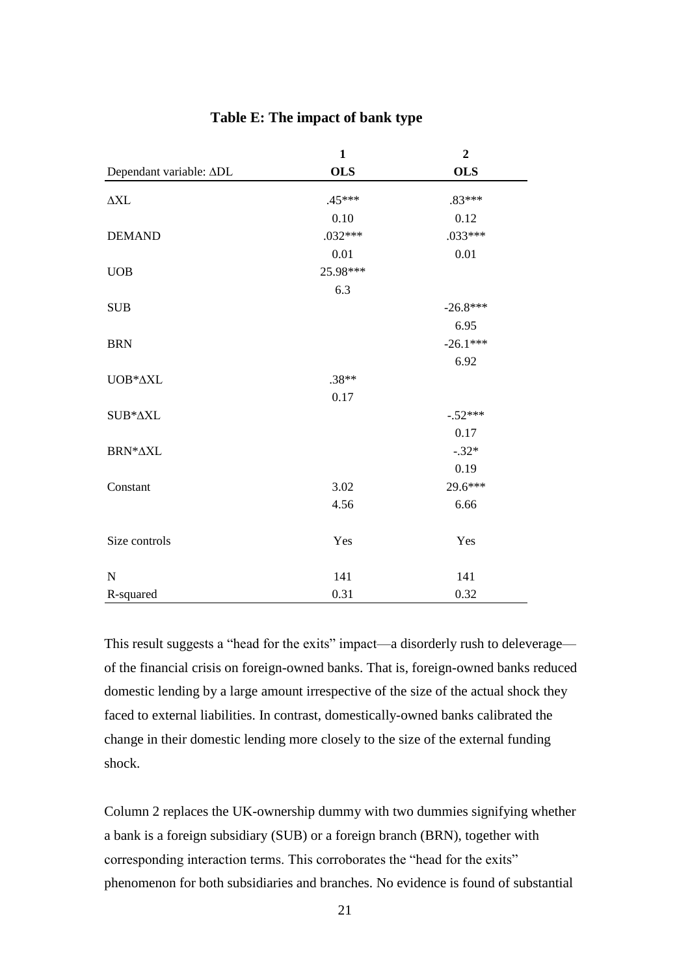|                             | $\mathbf{1}$ | $\overline{2}$ |
|-----------------------------|--------------|----------------|
| Dependant variable: ADL     | <b>OLS</b>   | <b>OLS</b>     |
| $\Delta \rm{XL}$            | $.45***$     | $.83***$       |
|                             | 0.10         | 0.12           |
| <b>DEMAND</b>               | $.032***$    | $.033***$      |
|                             | $0.01\,$     | $0.01\,$       |
| $\ensuremath{\mathsf{UOB}}$ | 25.98***     |                |
|                             | 6.3          |                |
| <b>SUB</b>                  |              | $-26.8***$     |
|                             |              | 6.95           |
| <b>BRN</b>                  |              | $-26.1***$     |
|                             |              | 6.92           |
| UOB*AXL                     | $.38**$      |                |
|                             | 0.17         |                |
| SUB*AXL                     |              | $-.52***$      |
|                             |              | 0.17           |
| BRN*AXL                     |              | $-.32*$        |
|                             |              | 0.19           |
| Constant                    | 3.02         | 29.6***        |
|                             | 4.56         | 6.66           |
| Size controls               | Yes          | Yes            |
| $\mathbf N$                 | 141          | 141            |
| R-squared                   | 0.31         | 0.32           |

## **Table E: The impact of bank type**

This result suggests a "head for the exits" impact—a disorderly rush to deleverage of the financial crisis on foreign-owned banks. That is, foreign-owned banks reduced domestic lending by a large amount irrespective of the size of the actual shock they faced to external liabilities. In contrast, domestically-owned banks calibrated the change in their domestic lending more closely to the size of the external funding shock.

Column 2 replaces the UK-ownership dummy with two dummies signifying whether a bank is a foreign subsidiary (SUB) or a foreign branch (BRN), together with corresponding interaction terms. This corroborates the "head for the exits" phenomenon for both subsidiaries and branches. No evidence is found of substantial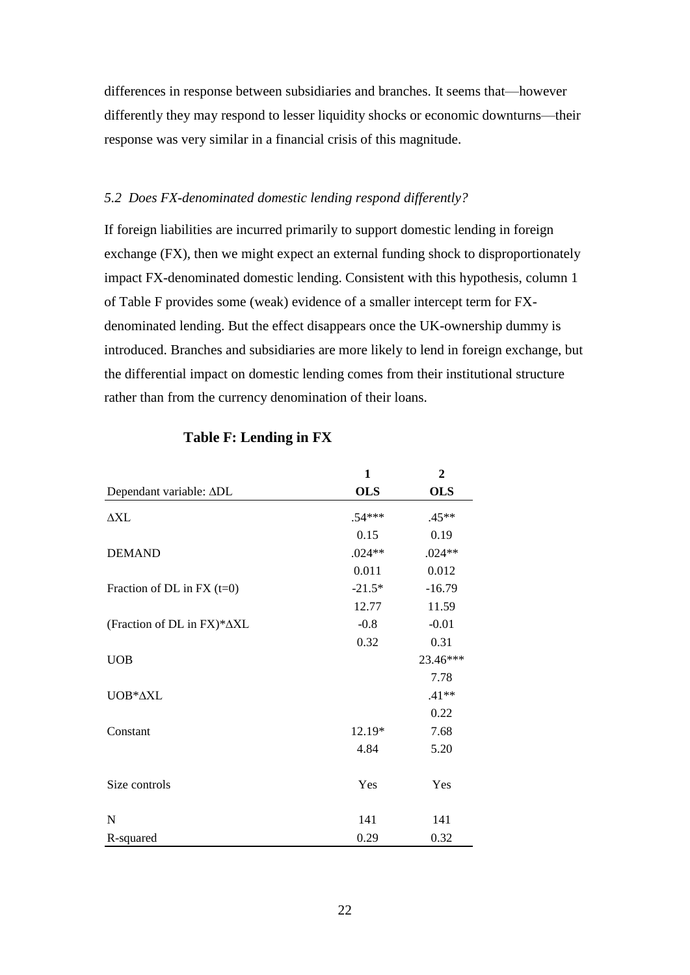differences in response between subsidiaries and branches. It seems that—however differently they may respond to lesser liquidity shocks or economic downturns—their response was very similar in a financial crisis of this magnitude.

## *5.2 Does FX-denominated domestic lending respond differently?*

If foreign liabilities are incurred primarily to support domestic lending in foreign exchange (FX), then we might expect an external funding shock to disproportionately impact FX-denominated domestic lending. Consistent with this hypothesis, column 1 of Table F provides some (weak) evidence of a smaller intercept term for FXdenominated lending. But the effect disappears once the UK-ownership dummy is introduced. Branches and subsidiaries are more likely to lend in foreign exchange, but the differential impact on domestic lending comes from their institutional structure rather than from the currency denomination of their loans.

|                              | $\mathbf{1}$ | $\overline{2}$ |
|------------------------------|--------------|----------------|
| Dependant variable: ADL      | <b>OLS</b>   | <b>OLS</b>     |
| $\Delta X L$                 | $.54***$     | $.45**$        |
|                              | 0.15         | 0.19           |
| <b>DEMAND</b>                | $.024**$     | $.024**$       |
|                              | 0.011        | 0.012          |
| Fraction of DL in FX $(t=0)$ | $-21.5*$     | $-16.79$       |
|                              | 12.77        | 11.59          |
| (Fraction of DL in FX)*∆XL   | $-0.8$       | $-0.01$        |
|                              | 0.32         | 0.31           |
| <b>UOB</b>                   |              | 23.46***       |
|                              |              | 7.78           |
| UOB*AXL                      |              | $.41**$        |
|                              |              | 0.22           |
| Constant                     | 12.19*       | 7.68           |
|                              | 4.84         | 5.20           |
|                              |              |                |
| Size controls                | Yes          | Yes            |
|                              |              |                |
| N                            | 141          | 141            |
| R-squared                    | 0.29         | 0.32           |

## **Table F: Lending in FX**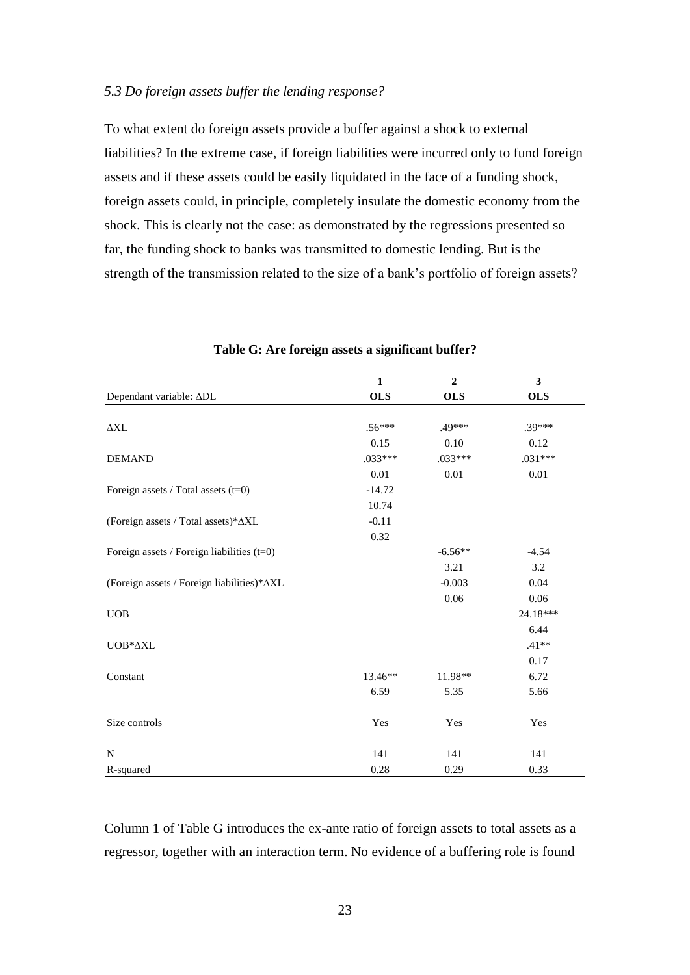## *5.3 Do foreign assets buffer the lending response?*

To what extent do foreign assets provide a buffer against a shock to external liabilities? In the extreme case, if foreign liabilities were incurred only to fund foreign assets and if these assets could be easily liquidated in the face of a funding shock, foreign assets could, in principle, completely insulate the domestic economy from the shock. This is clearly not the case: as demonstrated by the regressions presented so far, the funding shock to banks was transmitted to domestic lending. But is the strength of the transmission related to the size of a bank"s portfolio of foreign assets?

|                                                                | $\mathbf{1}$ | $\overline{2}$ | $\mathbf{3}$ |
|----------------------------------------------------------------|--------------|----------------|--------------|
| Dependant variable: ADL                                        | <b>OLS</b>   | <b>OLS</b>     | <b>OLS</b>   |
|                                                                |              |                |              |
| $\Delta\!{\rm XL}$                                             | $.56***$     | .49***         | .39***       |
|                                                                | 0.15         | 0.10           | 0.12         |
| <b>DEMAND</b>                                                  | $.033***$    | $.033***$      | $.031***$    |
|                                                                | 0.01         | 0.01           | 0.01         |
| Foreign assets / Total assets (t=0)                            | $-14.72$     |                |              |
|                                                                | 10.74        |                |              |
| (Foreign assets / Total assets)* $\Delta XL$                   | $-0.11$      |                |              |
|                                                                | 0.32         |                |              |
| Foreign assets / Foreign liabilities $(t=0)$                   |              | $-6.56**$      | $-4.54$      |
|                                                                |              | 3.21           | 3.2          |
| (Foreign assets / Foreign liabilities)* $\Delta XL$            |              | $-0.003$       | 0.04         |
|                                                                |              | 0.06           | 0.06         |
| <b>UOB</b>                                                     |              |                | 24.18***     |
|                                                                |              |                | 6.44         |
| $\ensuremath{\mathsf{UOB^*}\xspace\!\Delta \! \!\!\xspace XL}$ |              |                | $.41**$      |
|                                                                |              |                | 0.17         |
| Constant                                                       | 13.46**      | 11.98**        | 6.72         |
|                                                                | 6.59         | 5.35           | 5.66         |
|                                                                |              |                |              |
| Size controls                                                  | Yes          | Yes            | Yes          |
|                                                                |              |                |              |
| $\mathbf N$                                                    | 141          | 141            | 141          |
| R-squared                                                      | 0.28         | 0.29           | 0.33         |

## **Table G: Are foreign assets a significant buffer?**

Column 1 of Table G introduces the ex-ante ratio of foreign assets to total assets as a regressor, together with an interaction term. No evidence of a buffering role is found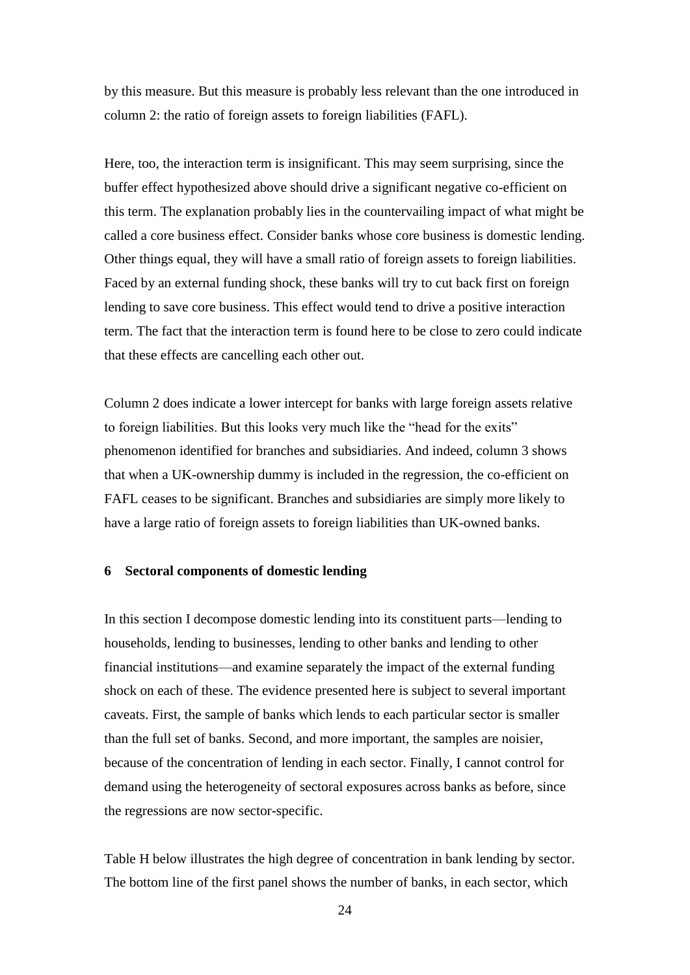by this measure. But this measure is probably less relevant than the one introduced in column 2: the ratio of foreign assets to foreign liabilities (FAFL).

Here, too, the interaction term is insignificant. This may seem surprising, since the buffer effect hypothesized above should drive a significant negative co-efficient on this term. The explanation probably lies in the countervailing impact of what might be called a core business effect. Consider banks whose core business is domestic lending. Other things equal, they will have a small ratio of foreign assets to foreign liabilities. Faced by an external funding shock, these banks will try to cut back first on foreign lending to save core business. This effect would tend to drive a positive interaction term. The fact that the interaction term is found here to be close to zero could indicate that these effects are cancelling each other out.

Column 2 does indicate a lower intercept for banks with large foreign assets relative to foreign liabilities. But this looks very much like the "head for the exits" phenomenon identified for branches and subsidiaries. And indeed, column 3 shows that when a UK-ownership dummy is included in the regression, the co-efficient on FAFL ceases to be significant. Branches and subsidiaries are simply more likely to have a large ratio of foreign assets to foreign liabilities than UK-owned banks.

#### **6 Sectoral components of domestic lending**

In this section I decompose domestic lending into its constituent parts—lending to households, lending to businesses, lending to other banks and lending to other financial institutions—and examine separately the impact of the external funding shock on each of these. The evidence presented here is subject to several important caveats. First, the sample of banks which lends to each particular sector is smaller than the full set of banks. Second, and more important, the samples are noisier, because of the concentration of lending in each sector. Finally, I cannot control for demand using the heterogeneity of sectoral exposures across banks as before, since the regressions are now sector-specific.

Table H below illustrates the high degree of concentration in bank lending by sector. The bottom line of the first panel shows the number of banks, in each sector, which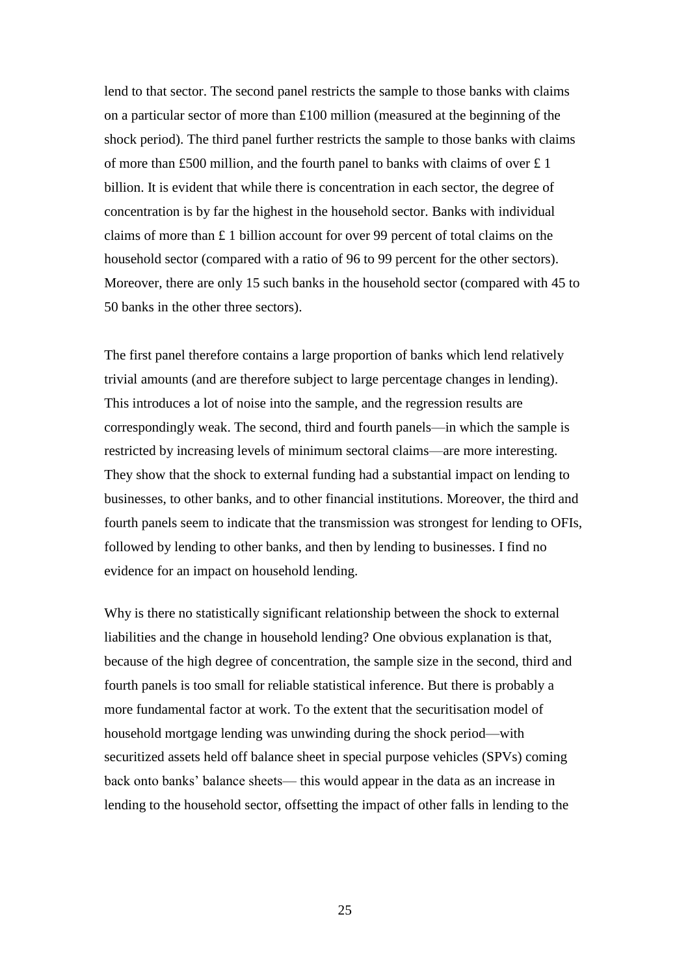lend to that sector. The second panel restricts the sample to those banks with claims on a particular sector of more than £100 million (measured at the beginning of the shock period). The third panel further restricts the sample to those banks with claims of more than £500 million, and the fourth panel to banks with claims of over £ 1 billion. It is evident that while there is concentration in each sector, the degree of concentration is by far the highest in the household sector. Banks with individual claims of more than £ 1 billion account for over 99 percent of total claims on the household sector (compared with a ratio of 96 to 99 percent for the other sectors). Moreover, there are only 15 such banks in the household sector (compared with 45 to 50 banks in the other three sectors).

The first panel therefore contains a large proportion of banks which lend relatively trivial amounts (and are therefore subject to large percentage changes in lending). This introduces a lot of noise into the sample, and the regression results are correspondingly weak. The second, third and fourth panels—in which the sample is restricted by increasing levels of minimum sectoral claims—are more interesting. They show that the shock to external funding had a substantial impact on lending to businesses, to other banks, and to other financial institutions. Moreover, the third and fourth panels seem to indicate that the transmission was strongest for lending to OFIs, followed by lending to other banks, and then by lending to businesses. I find no evidence for an impact on household lending.

Why is there no statistically significant relationship between the shock to external liabilities and the change in household lending? One obvious explanation is that, because of the high degree of concentration, the sample size in the second, third and fourth panels is too small for reliable statistical inference. But there is probably a more fundamental factor at work. To the extent that the securitisation model of household mortgage lending was unwinding during the shock period—with securitized assets held off balance sheet in special purpose vehicles (SPVs) coming back onto banks" balance sheets— this would appear in the data as an increase in lending to the household sector, offsetting the impact of other falls in lending to the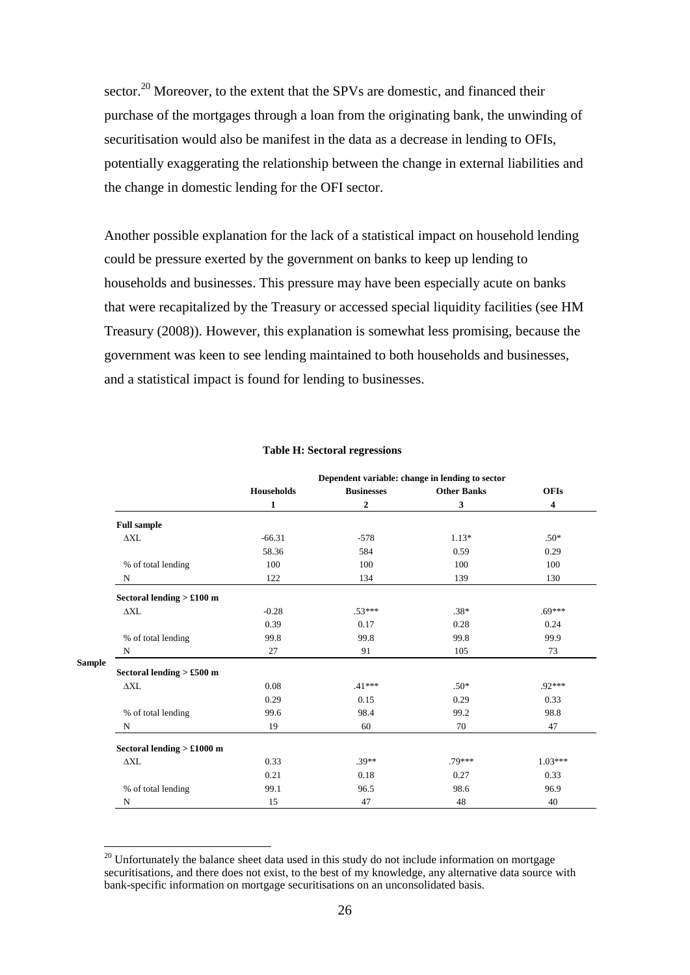sector.<sup>20</sup> Moreover, to the extent that the SPVs are domestic, and financed their purchase of the mortgages through a loan from the originating bank, the unwinding of securitisation would also be manifest in the data as a decrease in lending to OFIs, potentially exaggerating the relationship between the change in external liabilities and the change in domestic lending for the OFI sector.

Another possible explanation for the lack of a statistical impact on household lending could be pressure exerted by the government on banks to keep up lending to households and businesses. This pressure may have been especially acute on banks that were recapitalized by the Treasury or accessed special liquidity facilities (see HM Treasury (2008)). However, this explanation is somewhat less promising, because the government was keen to see lending maintained to both households and businesses, and a statistical impact is found for lending to businesses.

|               | Dependent variable: change in lending to sector |                   |                   |                    |                         |
|---------------|-------------------------------------------------|-------------------|-------------------|--------------------|-------------------------|
|               |                                                 | <b>Households</b> | <b>Businesses</b> | <b>Other Banks</b> | <b>OFIs</b>             |
|               |                                                 | 1                 | $\mathbf{2}$      | 3                  | $\overline{\mathbf{4}}$ |
|               | <b>Full sample</b>                              |                   |                   |                    |                         |
|               | $\Delta \rm{XL}$                                | $-66.31$          | $-578$            | $1.13*$            | $.50*$                  |
|               |                                                 | 58.36             | 584               | 0.59               | 0.29                    |
|               | % of total lending                              | 100               | 100               | 100                | 100                     |
|               | N                                               | 122               | 134               | 139                | 130                     |
|               | Sectoral lending $> £100$ m                     |                   |                   |                    |                         |
|               | $\triangle XL$                                  | $-0.28$           | $.53***$          | $.38*$             | $.69***$                |
|               |                                                 | 0.39              | 0.17              | 0.28               | 0.24                    |
|               | % of total lending                              | 99.8              | 99.8              | 99.8               | 99.9                    |
|               | N                                               | 27                | 91                | 105                | 73                      |
| <b>Sample</b> | Sectoral lending $> £500$ m                     |                   |                   |                    |                         |
|               | $\Delta \rm{XL}$                                | 0.08              | $.41***$          | $.50*$             | .92***                  |
|               |                                                 | 0.29              | 0.15              | 0.29               | 0.33                    |
|               | % of total lending                              | 99.6              | 98.4              | 99.2               | 98.8                    |
|               | N                                               | 19                | 60                | 70                 | 47                      |
|               | Sectoral lending $> £1000$ m                    |                   |                   |                    |                         |
|               | $\triangle XL$                                  | 0.33              | $.39**$           | .79***             | $1.03***$               |
|               |                                                 | 0.21              | 0.18              | 0.27               | 0.33                    |
|               | % of total lending                              | 99.1              | 96.5              | 98.6               | 96.9                    |
|               | N                                               | 15                | 47                | 48                 | 40                      |

#### **Table H: Sectoral regressions**

 $20$  Unfortunately the balance sheet data used in this study do not include information on mortgage securitisations, and there does not exist, to the best of my knowledge, any alternative data source with bank-specific information on mortgage securitisations on an unconsolidated basis.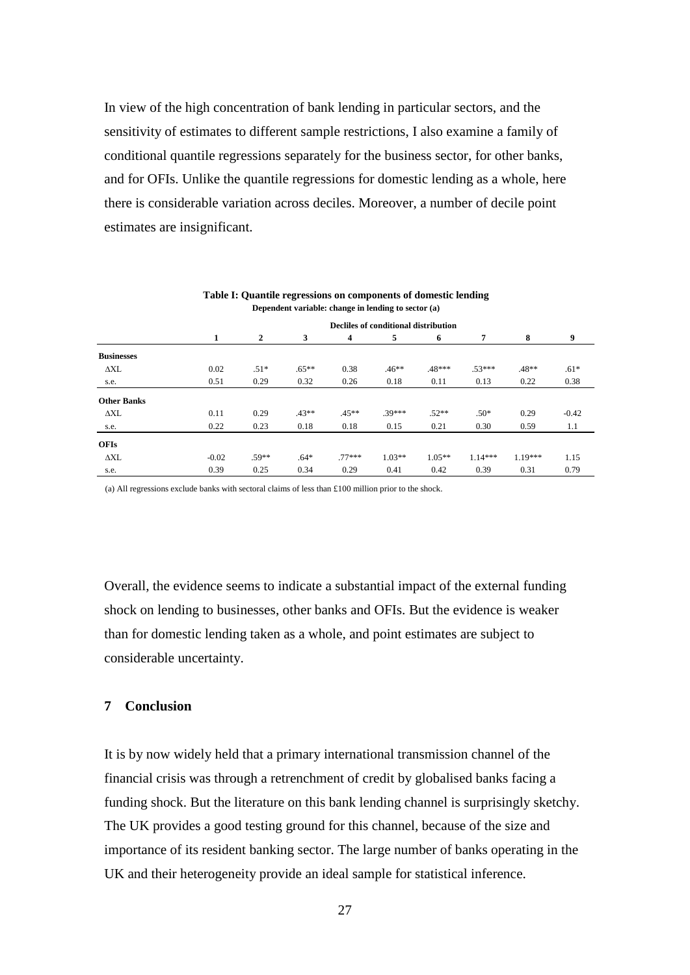In view of the high concentration of bank lending in particular sectors, and the sensitivity of estimates to different sample restrictions, I also examine a family of conditional quantile regressions separately for the business sector, for other banks, and for OFIs. Unlike the quantile regressions for domestic lending as a whole, here there is considerable variation across deciles. Moreover, a number of decile point estimates are insignificant.

| Dependent variable: change in lending to sector (a) |         |                                      |          |                |          |          |                |           |         |
|-----------------------------------------------------|---------|--------------------------------------|----------|----------------|----------|----------|----------------|-----------|---------|
|                                                     |         | Decliles of conditional distribution |          |                |          |          |                |           |         |
|                                                     | 1       | $\overline{2}$                       | 3        | $\overline{4}$ | 5        | 6        | $\overline{7}$ | 8         | 9       |
| <b>Businesses</b>                                   |         |                                      |          |                |          |          |                |           |         |
| ΔXL                                                 | 0.02    | $.51*$                               | $.65***$ | 0.38           | $.46**$  | .48***   | $.53***$       | $.48**$   | $.61*$  |
| s.e.                                                | 0.51    | 0.29                                 | 0.32     | 0.26           | 0.18     | 0.11     | 0.13           | 0.22      | 0.38    |
| <b>Other Banks</b>                                  |         |                                      |          |                |          |          |                |           |         |
| ΔXL                                                 | 0.11    | 0.29                                 | $.43**$  | $.45**$        | $.39***$ | $.52**$  | $.50*$         | 0.29      | $-0.42$ |
| s.e.                                                | 0.22    | 0.23                                 | 0.18     | 0.18           | 0.15     | 0.21     | 0.30           | 0.59      | 1.1     |
| <b>OFIs</b>                                         |         |                                      |          |                |          |          |                |           |         |
| $\Delta \rm{XL}$                                    | $-0.02$ | $.59**$                              | $.64*$   | $77***$        | $1.03**$ | $1.05**$ | $1.14***$      | $1.19***$ | 1.15    |
| s.e.                                                | 0.39    | 0.25                                 | 0.34     | 0.29           | 0.41     | 0.42     | 0.39           | 0.31      | 0.79    |

**Table I: Quantile regressions on components of domestic lending**

(a) All regressions exclude banks with sectoral claims of less than £100 million prior to the shock.

Overall, the evidence seems to indicate a substantial impact of the external funding shock on lending to businesses, other banks and OFIs. But the evidence is weaker than for domestic lending taken as a whole, and point estimates are subject to considerable uncertainty.

#### **7 Conclusion**

It is by now widely held that a primary international transmission channel of the financial crisis was through a retrenchment of credit by globalised banks facing a funding shock. But the literature on this bank lending channel is surprisingly sketchy. The UK provides a good testing ground for this channel, because of the size and importance of its resident banking sector. The large number of banks operating in the UK and their heterogeneity provide an ideal sample for statistical inference.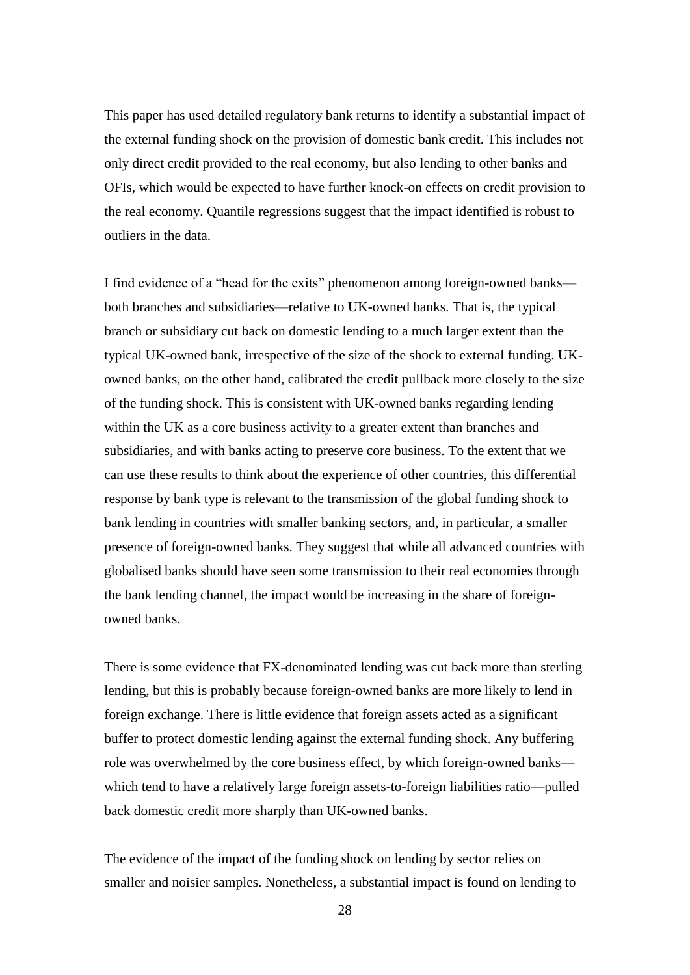This paper has used detailed regulatory bank returns to identify a substantial impact of the external funding shock on the provision of domestic bank credit. This includes not only direct credit provided to the real economy, but also lending to other banks and OFIs, which would be expected to have further knock-on effects on credit provision to the real economy. Quantile regressions suggest that the impact identified is robust to outliers in the data.

I find evidence of a "head for the exits" phenomenon among foreign-owned banks both branches and subsidiaries—relative to UK-owned banks. That is, the typical branch or subsidiary cut back on domestic lending to a much larger extent than the typical UK-owned bank, irrespective of the size of the shock to external funding. UKowned banks, on the other hand, calibrated the credit pullback more closely to the size of the funding shock. This is consistent with UK-owned banks regarding lending within the UK as a core business activity to a greater extent than branches and subsidiaries, and with banks acting to preserve core business. To the extent that we can use these results to think about the experience of other countries, this differential response by bank type is relevant to the transmission of the global funding shock to bank lending in countries with smaller banking sectors, and, in particular, a smaller presence of foreign-owned banks. They suggest that while all advanced countries with globalised banks should have seen some transmission to their real economies through the bank lending channel, the impact would be increasing in the share of foreignowned banks.

There is some evidence that FX-denominated lending was cut back more than sterling lending, but this is probably because foreign-owned banks are more likely to lend in foreign exchange. There is little evidence that foreign assets acted as a significant buffer to protect domestic lending against the external funding shock. Any buffering role was overwhelmed by the core business effect, by which foreign-owned banks which tend to have a relatively large foreign assets-to-foreign liabilities ratio—pulled back domestic credit more sharply than UK-owned banks.

The evidence of the impact of the funding shock on lending by sector relies on smaller and noisier samples. Nonetheless, a substantial impact is found on lending to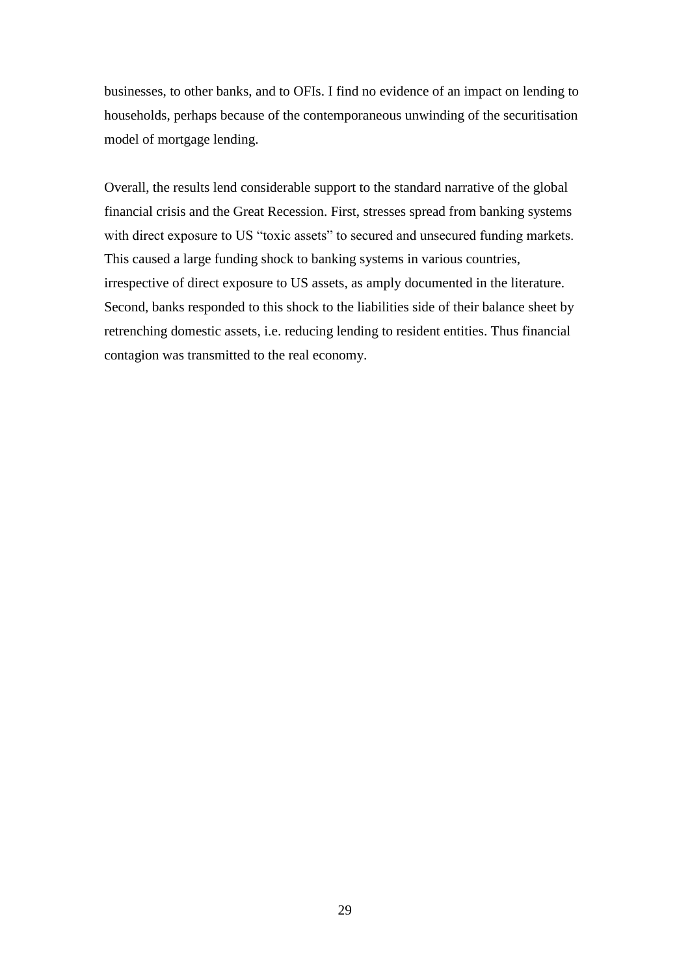businesses, to other banks, and to OFIs. I find no evidence of an impact on lending to households, perhaps because of the contemporaneous unwinding of the securitisation model of mortgage lending.

Overall, the results lend considerable support to the standard narrative of the global financial crisis and the Great Recession. First, stresses spread from banking systems with direct exposure to US "toxic assets" to secured and unsecured funding markets. This caused a large funding shock to banking systems in various countries, irrespective of direct exposure to US assets, as amply documented in the literature. Second, banks responded to this shock to the liabilities side of their balance sheet by retrenching domestic assets, i.e. reducing lending to resident entities. Thus financial contagion was transmitted to the real economy.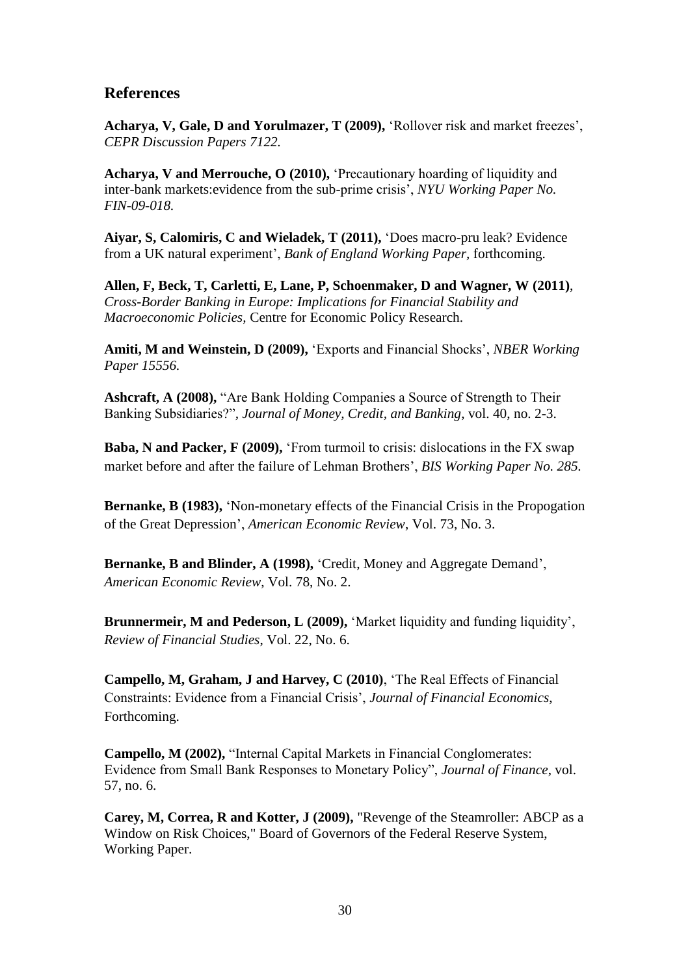## **References**

**Acharya, V, Gale, D and Yorulmazer, T (2009),** "Rollover risk and market freezes", *CEPR Discussion Papers 7122.*

**Acharya, V and Merrouche, O (2010), 'Precautionary hoarding of liquidity and** inter-bank markets:evidence from the sub-prime crisis", *NYU Working Paper No. FIN-09-018.*

**Aiyar, S, Calomiris, C and Wieladek, T (2011),** "Does macro-pru leak? Evidence from a UK natural experiment", *Bank of England Working Paper,* forthcoming.

**Allen, F, Beck, T, Carletti, E, Lane, P, Schoenmaker, D and Wagner, W (2011)**, *Cross-Border Banking in Europe: Implications for Financial Stability and Macroeconomic Policies,* Centre for Economic Policy Research.

**Amiti, M and Weinstein, D (2009),** "Exports and Financial Shocks", *NBER Working Paper 15556.*

**Ashcraft, A (2008),** "Are Bank Holding Companies a Source of Strength to Their Banking Subsidiaries?"*, Journal of Money, Credit, and Banking*, vol. 40, no. 2-3.

**Baba, N and Packer, F (2009),** 'From turmoil to crisis: dislocations in the FX swap market before and after the failure of Lehman Brothers", *BIS Working Paper No. 285.*

**Bernanke, B (1983),** "Non-monetary effects of the Financial Crisis in the Propogation of the Great Depression", *American Economic Review*, Vol. 73, No. 3.

**Bernanke, B and Blinder, A (1998),** "Credit, Money and Aggregate Demand", *American Economic Review*, Vol. 78, No. 2.

**Brunnermeir, M and Pederson, L (2009),** "Market liquidity and funding liquidity", *Review of Financial Studies*, Vol. 22, No. 6.

**Campello, M, Graham, J and Harvey, C (2010)**, "The Real Effects of Financial Constraints: Evidence from a Financial Crisis", *Journal of Financial Economics*, Forthcoming.

**Campello, M (2002),** "Internal Capital Markets in Financial Conglomerates: Evidence from Small Bank Responses to Monetary Policy", *Journal of Finance*, vol. 57, no. 6.

**Carey, M, Correa, R and Kotter, J (2009),** "Revenge of the Steamroller: ABCP as a Window on Risk Choices," Board of Governors of the Federal Reserve System, Working Paper.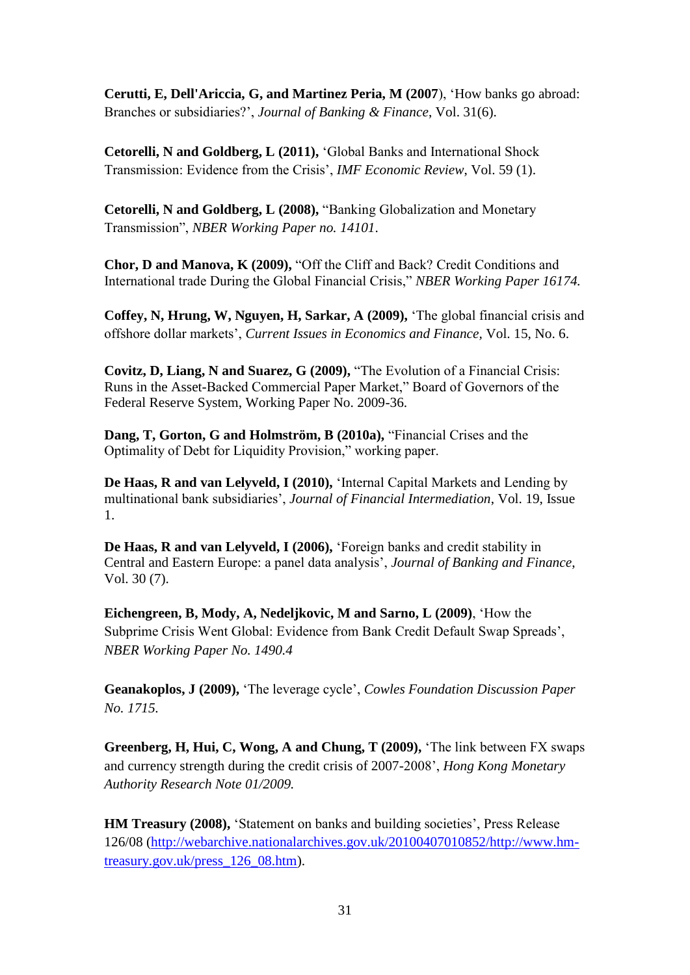**Cerutti, E, Dell'Ariccia, G, and Martinez Peria, M (2007**), "How banks go abroad: Branches or subsidiaries?", *Journal of Banking & Finance*, Vol. 31(6).

**Cetorelli, N and Goldberg, L (2011),** "Global Banks and International Shock Transmission: Evidence from the Crisis", *IMF Economic Review*, Vol. 59 (1).

**Cetorelli, N and Goldberg, L (2008),** "Banking Globalization and Monetary Transmission", *NBER Working Paper no. 14101*.

**Chor, D and Manova, K (2009),** "Off the Cliff and Back? Credit Conditions and International trade During the Global Financial Crisis," *NBER Working Paper 16174.*

**Coffey, N, Hrung, W, Nguyen, H, Sarkar, A (2009),** "The global financial crisis and offshore dollar markets", *Current Issues in Economics and Finance,* Vol. 15, No. 6.

**Covitz, D, Liang, N and Suarez, G (2009),** "The Evolution of a Financial Crisis: Runs in the Asset-Backed Commercial Paper Market," Board of Governors of the Federal Reserve System, Working Paper No. 2009-36.

**Dang, T, Gorton, G and Holmström, B (2010a),** "Financial Crises and the Optimality of Debt for Liquidity Provision," working paper.

**De Haas, R and van Lelyveld, I (2010),** "Internal Capital Markets and Lending by multinational bank subsidiaries", *Journal of Financial Intermediation*, Vol. 19, Issue 1.

**De Haas, R and van Lelyveld, I (2006),** "Foreign banks and credit stability in Central and Eastern Europe: a panel data analysis", *Journal of Banking and Finance*, Vol. 30 (7).

**Eichengreen, B, Mody, A, Nedeljkovic, M and Sarno, L (2009)**, "How the Subprime Crisis Went Global: Evidence from Bank Credit Default Swap Spreads", *NBER Working Paper No. 1490.4*

**Geanakoplos, J (2009),** "The leverage cycle", *Cowles Foundation Discussion Paper No. 1715.*

**Greenberg, H, Hui, C, Wong, A and Chung, T (2009),** "The link between FX swaps and currency strength during the credit crisis of 2007-2008", *Hong Kong Monetary Authority Research Note 01/2009.*

**HM Treasury (2008), 'Statement on banks and building societies', Press Release** 126/08 [\(http://webarchive.nationalarchives.gov.uk/20100407010852/http://www.hm](http://webarchive.nationalarchives.gov.uk/20100407010852/http:/www.hm-treasury.gov.uk/press_126_08.htm)[treasury.gov.uk/press\\_126\\_08.htm\)](http://webarchive.nationalarchives.gov.uk/20100407010852/http:/www.hm-treasury.gov.uk/press_126_08.htm).